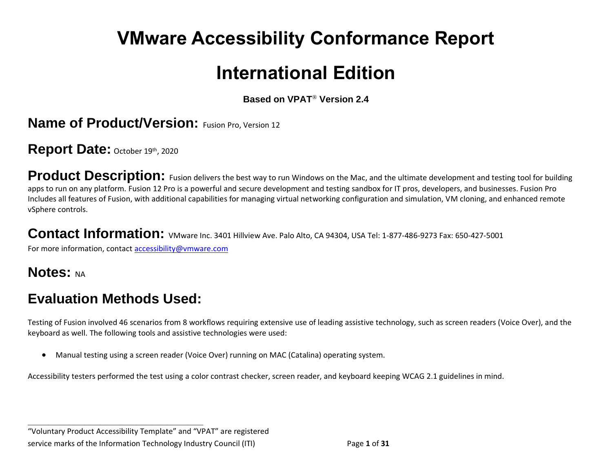# **VMware Accessibility Conformance Report**

# **International Edition**

**Based on VPAT**® **Version 2.4**

**Name of Product/Version:** Fusion Pro, Version 12

Report Date: October 19th, 2020

Product Description: Fusion delivers the best way to run Windows on the Mac, and the ultimate development and testing tool for building apps to run on any platform. Fusion 12 Pro is a powerful and secure development and testing sandbox for IT pros, developers, and businesses. Fusion Pro Includes all features of Fusion, with additional capabilities for managing virtual networking configuration and simulation, VM cloning, and enhanced remote vSphere controls.

**Contact Information:** VMware Inc. 3401 Hillview Ave. Palo Alto, CA 94304, USA Tel: 1-877-486-9273 Fax: 650-427-5001

For more information, contact [accessibility@vmware.com](https://www.etsi.org/deliver/etsi_en/301500_301599/301549/03.01.01_60/en_301549v030101p.pdf)

#### **Notes: NA**

## **Evaluation Methods Used:**

**\_\_\_\_\_\_\_\_\_\_\_\_\_\_\_\_\_\_\_\_\_\_\_\_\_\_\_\_\_\_\_\_\_\_**

Testing of Fusion involved 46 scenarios from 8 workflows requiring extensive use of leading assistive technology, such as screen readers (Voice Over), and the keyboard as well. The following tools and assistive technologies were used:

• Manual testing using a screen reader (Voice Over) running on MAC (Catalina) operating system.

Accessibility testers performed the test using a color contrast checker, screen reader, and keyboard keeping WCAG 2.1 guidelines in mind.

<sup>&</sup>quot;Voluntary Product Accessibility Template" and "VPAT" are registered service marks of the Information Technology Industry Council (ITI) Page **1** of **31**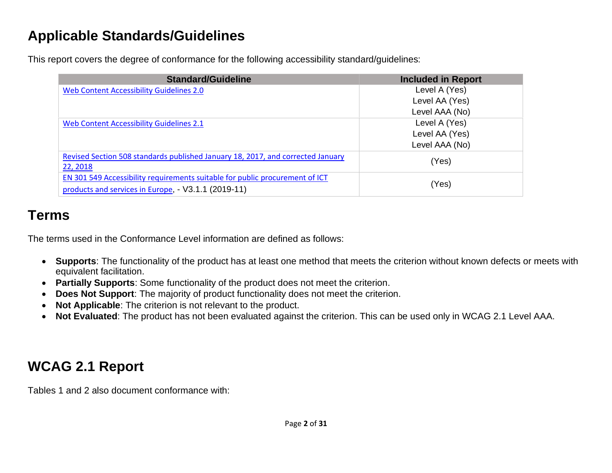# **Applicable Standards/Guidelines**

This report covers the degree of conformance for the following accessibility standard/guidelines:

| <b>Standard/Guideline</b>                                                                                                           | <b>Included in Report</b> |
|-------------------------------------------------------------------------------------------------------------------------------------|---------------------------|
| Web Content Accessibility Guidelines 2.0                                                                                            | Level A (Yes)             |
|                                                                                                                                     | Level AA (Yes)            |
|                                                                                                                                     | Level AAA (No)            |
| Web Content Accessibility Guidelines 2.1                                                                                            | Level A (Yes)             |
|                                                                                                                                     | Level AA (Yes)            |
|                                                                                                                                     | Level AAA (No)            |
| Revised Section 508 standards published January 18, 2017, and corrected January<br>22, 2018                                         | (Yes)                     |
| EN 301 549 Accessibility requirements suitable for public procurement of ICT<br>products and services in Europe, - V3.1.1 (2019-11) | (Yes)                     |

# **Terms**

The terms used in the Conformance Level information are defined as follows:

- **Supports**: The functionality of the product has at least one method that meets the criterion without known defects or meets with equivalent facilitation.
- **Partially Supports**: Some functionality of the product does not meet the criterion.
- **Does Not Support**: The majority of product functionality does not meet the criterion.
- **Not Applicable**: The criterion is not relevant to the product.
- **Not Evaluated**: The product has not been evaluated against the criterion. This can be used only in WCAG 2.1 Level AAA.

# **WCAG 2.1 Report**

Tables 1 and 2 also document conformance with: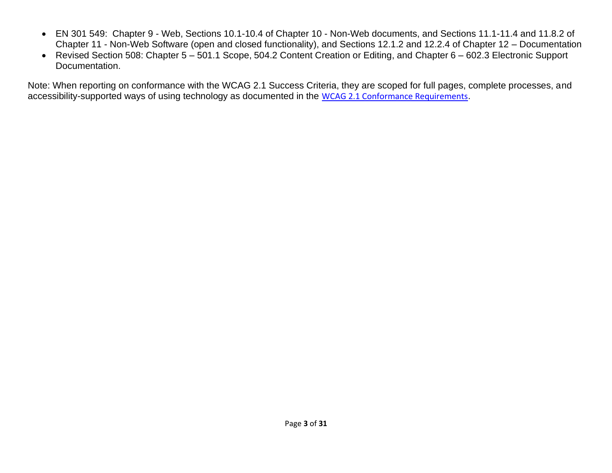- EN 301 549: Chapter 9 Web, Sections 10.1-10.4 of Chapter 10 Non-Web documents, and Sections 11.1-11.4 and 11.8.2 of Chapter 11 - Non-Web Software (open and closed functionality), and Sections 12.1.2 and 12.2.4 of Chapter 12 – Documentation
- Revised Section 508: Chapter 5 501.1 Scope, 504.2 Content Creation or Editing, and Chapter 6 602.3 Electronic Support Documentation.

Note: When reporting on conformance with the WCAG 2.1 Success Criteria, they are scoped for full pages, complete processes, and accessibility-supported ways of using technology as documented in the [WCAG 2.1 Conformance Requirements](https://www.etsi.org/deliver/etsi_en/301500_301599/301549/03.01.01_60/en_301549v030101p.pdf).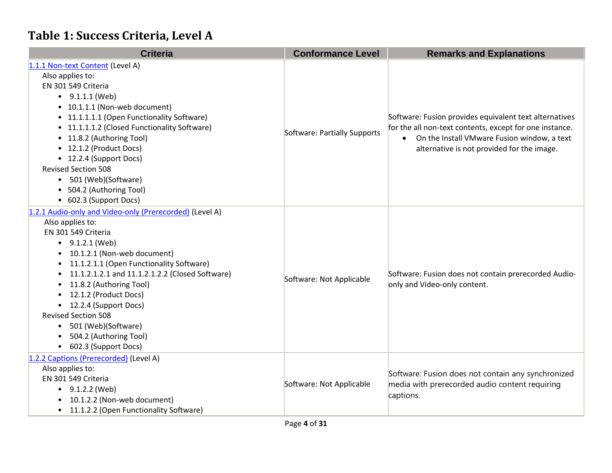# **Table 1: Success Criteria, Level A**

| <b>Criteria</b>                                              | <b>Conformance Level</b>     | <b>Remarks and Explanations</b>                                                                                   |
|--------------------------------------------------------------|------------------------------|-------------------------------------------------------------------------------------------------------------------|
| 1.1.1 Non-text Content (Level A)                             |                              |                                                                                                                   |
| Also applies to:                                             |                              |                                                                                                                   |
| EN 301 549 Criteria                                          |                              |                                                                                                                   |
| $\bullet$ 9.1.1.1 (Web)                                      |                              | Software: Fusion provides equivalent text alternatives<br>for the all non-text contents, except for one instance. |
| • 10.1.1.1 (Non-web document)                                |                              |                                                                                                                   |
| • 11.1.1.1.1 (Open Functionality Software)                   |                              |                                                                                                                   |
| • 11.1.1.1.2 (Closed Functionality Software)                 |                              |                                                                                                                   |
| • 11.8.2 (Authoring Tool)                                    | Software: Partially Supports | On the Install VMware Fusion window, a text                                                                       |
| • 12.1.2 (Product Docs)                                      |                              | alternative is not provided for the image.                                                                        |
| • 12.2.4 (Support Docs)                                      |                              |                                                                                                                   |
| <b>Revised Section 508</b>                                   |                              |                                                                                                                   |
| 501 (Web)(Software)<br>$\bullet$                             |                              |                                                                                                                   |
| • 504.2 (Authoring Tool)                                     |                              |                                                                                                                   |
| • 602.3 (Support Docs)                                       |                              |                                                                                                                   |
| 1.2.1 Audio-only and Video-only (Prerecorded) (Level A)      |                              |                                                                                                                   |
| Also applies to:                                             |                              | Software: Fusion does not contain prerecorded Audio-<br>only and Video-only content.                              |
| EN 301 549 Criteria                                          |                              |                                                                                                                   |
| $-9.1.2.1$ (Web)                                             |                              |                                                                                                                   |
| 10.1.2.1 (Non-web document)<br>٠                             |                              |                                                                                                                   |
| 11.1.2.1.1 (Open Functionality Software)<br>$\bullet$        |                              |                                                                                                                   |
| 11.1.2.1.2.1 and 11.1.2.1.2.2 (Closed Software)<br>$\bullet$ | Software: Not Applicable     |                                                                                                                   |
| 11.8.2 (Authoring Tool)<br>$\bullet$                         |                              |                                                                                                                   |
| 12.1.2 (Product Docs)<br>$\bullet$                           |                              |                                                                                                                   |
| 12.2.4 (Support Docs)<br>$\bullet$                           |                              |                                                                                                                   |
| <b>Revised Section 508</b>                                   |                              |                                                                                                                   |
| 501 (Web)(Software)<br>$\bullet$                             |                              |                                                                                                                   |
| 504.2 (Authoring Tool)                                       |                              |                                                                                                                   |
| • 602.3 (Support Docs)                                       |                              |                                                                                                                   |
| 1.2.2 Captions (Prerecorded) (Level A)                       |                              |                                                                                                                   |
| Also applies to:                                             | Software: Not Applicable     | Software: Fusion does not contain any synchronized                                                                |
| EN 301 549 Criteria                                          |                              | media with prerecorded audio content requiring                                                                    |
| $-9.1.2.2$ (Web)                                             |                              | captions.                                                                                                         |
| 10.1.2.2 (Non-web document)<br>$\bullet$                     |                              |                                                                                                                   |
| 11.1.2.2 (Open Functionality Software)<br>$\bullet$          |                              |                                                                                                                   |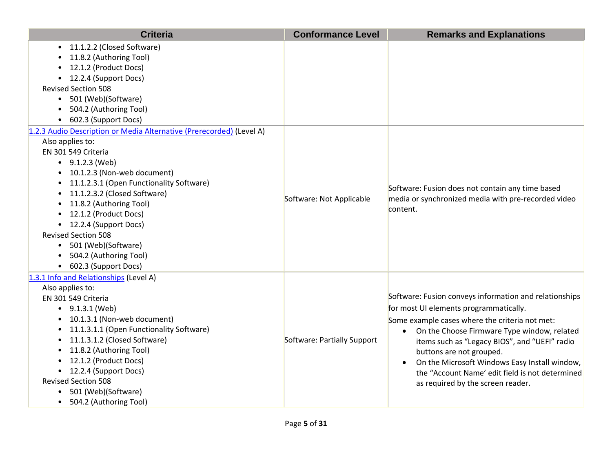| <b>Criteria</b>                                                                                                                                                                                                                                                                                                                                                                                                                                           | <b>Conformance Level</b>    | <b>Remarks and Explanations</b>                                                                                                                                                                                                                                                                                                                                                                                                                   |
|-----------------------------------------------------------------------------------------------------------------------------------------------------------------------------------------------------------------------------------------------------------------------------------------------------------------------------------------------------------------------------------------------------------------------------------------------------------|-----------------------------|---------------------------------------------------------------------------------------------------------------------------------------------------------------------------------------------------------------------------------------------------------------------------------------------------------------------------------------------------------------------------------------------------------------------------------------------------|
| • 11.1.2.2 (Closed Software)<br>11.8.2 (Authoring Tool)<br>12.1.2 (Product Docs)<br>• 12.2.4 (Support Docs)<br><b>Revised Section 508</b><br>• 501 (Web)(Software)<br>504.2 (Authoring Tool)<br>• 602.3 (Support Docs)                                                                                                                                                                                                                                    |                             |                                                                                                                                                                                                                                                                                                                                                                                                                                                   |
| 1.2.3 Audio Description or Media Alternative (Prerecorded) (Level A)<br>Also applies to:<br>EN 301 549 Criteria<br>$\bullet$ 9.1.2.3 (Web)<br>• 10.1.2.3 (Non-web document)<br>• 11.1.2.3.1 (Open Functionality Software)<br>• 11.1.2.3.2 (Closed Software)<br>• 11.8.2 (Authoring Tool)<br>• 12.1.2 (Product Docs)<br>• 12.2.4 (Support Docs)<br><b>Revised Section 508</b><br>• 501 (Web)(Software)<br>504.2 (Authoring Tool)<br>• 602.3 (Support Docs) | Software: Not Applicable    | Software: Fusion does not contain any time based<br>media or synchronized media with pre-recorded video<br>content.                                                                                                                                                                                                                                                                                                                               |
| 1.3.1 Info and Relationships (Level A)<br>Also applies to:<br>EN 301 549 Criteria<br>$\bullet$ 9.1.3.1 (Web)<br>10.1.3.1 (Non-web document)<br>11.1.3.1.1 (Open Functionality Software)<br>$\bullet$<br>11.1.3.1.2 (Closed Software)<br>$\bullet$<br>11.8.2 (Authoring Tool)<br>$\bullet$<br>• 12.1.2 (Product Docs)<br>• 12.2.4 (Support Docs)<br><b>Revised Section 508</b><br>501 (Web)(Software)<br>• 504.2 (Authoring Tool)                          | Software: Partially Support | Software: Fusion conveys information and relationships<br>for most UI elements programmatically.<br>Some example cases where the criteria not met:<br>On the Choose Firmware Type window, related<br>$\bullet$<br>items such as "Legacy BIOS", and "UEFI" radio<br>buttons are not grouped.<br>On the Microsoft Windows Easy Install window,<br>$\bullet$<br>the "Account Name' edit field is not determined<br>as required by the screen reader. |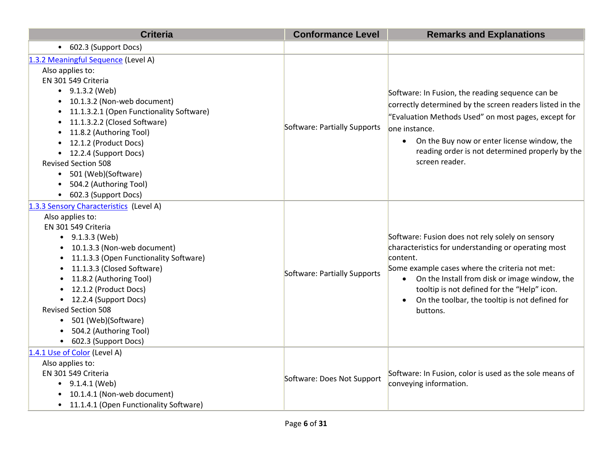| <b>Criteria</b>                                                                                                                                                                                                                                                                                                                                                                                                                                   | <b>Conformance Level</b>     | <b>Remarks and Explanations</b>                                                                                                                                                                                                                                                                                                                    |
|---------------------------------------------------------------------------------------------------------------------------------------------------------------------------------------------------------------------------------------------------------------------------------------------------------------------------------------------------------------------------------------------------------------------------------------------------|------------------------------|----------------------------------------------------------------------------------------------------------------------------------------------------------------------------------------------------------------------------------------------------------------------------------------------------------------------------------------------------|
| • 602.3 (Support Docs)                                                                                                                                                                                                                                                                                                                                                                                                                            |                              |                                                                                                                                                                                                                                                                                                                                                    |
| 1.3.2 Meaningful Sequence (Level A)<br>Also applies to:<br>EN 301 549 Criteria<br>$\bullet$ 9.1.3.2 (Web)<br>10.1.3.2 (Non-web document)<br>11.1.3.2.1 (Open Functionality Software)<br>$\bullet$<br>11.1.3.2.2 (Closed Software)<br>$\bullet$<br>11.8.2 (Authoring Tool)<br>$\bullet$<br>12.1.2 (Product Docs)<br>12.2.4 (Support Docs)<br><b>Revised Section 508</b><br>501 (Web)(Software)<br>504.2 (Authoring Tool)<br>• 602.3 (Support Docs) | Software: Partially Supports | Software: In Fusion, the reading sequence can be<br>correctly determined by the screen readers listed in the<br>"Evaluation Methods Used" on most pages, except for<br>one instance.<br>On the Buy now or enter license window, the<br>reading order is not determined properly by the<br>screen reader.                                           |
| 1.3.3 Sensory Characteristics (Level A)<br>Also applies to:<br>EN 301 549 Criteria<br>$-9.1.3.3$ (Web)<br>10.1.3.3 (Non-web document)<br>11.1.3.3 (Open Functionality Software)<br>11.1.3.3 (Closed Software)<br>11.8.2 (Authoring Tool)<br>12.1.2 (Product Docs)<br>• 12.2.4 (Support Docs)<br><b>Revised Section 508</b><br>• 501 (Web)(Software)<br>504.2 (Authoring Tool)<br>• 602.3 (Support Docs)                                           | Software: Partially Supports | Software: Fusion does not rely solely on sensory<br>characteristics for understanding or operating most<br>content.<br>Some example cases where the criteria not met:<br>• On the Install from disk or image window, the<br>tooltip is not defined for the "Help" icon.<br>On the toolbar, the tooltip is not defined for<br>$\bullet$<br>buttons. |
| 1.4.1 Use of Color (Level A)<br>Also applies to:<br>EN 301 549 Criteria<br>$\bullet$ 9.1.4.1 (Web)<br>10.1.4.1 (Non-web document)<br>11.1.4.1 (Open Functionality Software)                                                                                                                                                                                                                                                                       | Software: Does Not Support   | Software: In Fusion, color is used as the sole means of<br>conveying information.                                                                                                                                                                                                                                                                  |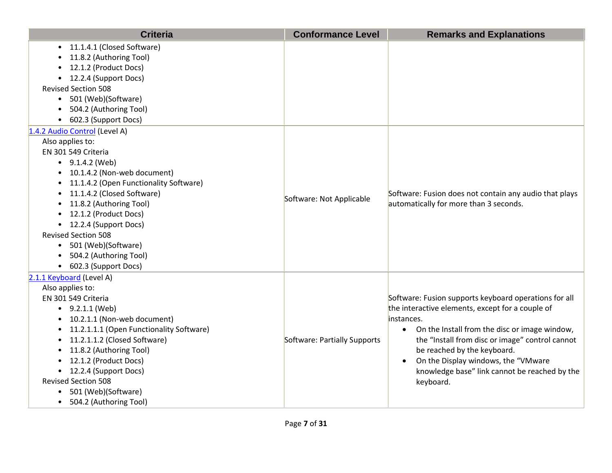| <b>Criteria</b>                                                                                                                                                                                                                                                                                                                                                                                                        | <b>Conformance Level</b>     | <b>Remarks and Explanations</b>                                                                                                                                                                                                                                                                                                                                              |
|------------------------------------------------------------------------------------------------------------------------------------------------------------------------------------------------------------------------------------------------------------------------------------------------------------------------------------------------------------------------------------------------------------------------|------------------------------|------------------------------------------------------------------------------------------------------------------------------------------------------------------------------------------------------------------------------------------------------------------------------------------------------------------------------------------------------------------------------|
| 11.1.4.1 (Closed Software)<br>11.8.2 (Authoring Tool)<br>12.1.2 (Product Docs)<br>12.2.4 (Support Docs)<br>$\bullet$<br><b>Revised Section 508</b><br>501 (Web)(Software)<br>$\bullet$<br>504.2 (Authoring Tool)<br>602.3 (Support Docs)                                                                                                                                                                               |                              |                                                                                                                                                                                                                                                                                                                                                                              |
| 1.4.2 Audio Control (Level A)<br>Also applies to:<br>EN 301 549 Criteria<br>$\bullet$ 9.1.4.2 (Web)<br>10.1.4.2 (Non-web document)<br>11.1.4.2 (Open Functionality Software)<br>11.1.4.2 (Closed Software)<br>11.8.2 (Authoring Tool)<br>12.1.2 (Product Docs)<br>• 12.2.4 (Support Docs)<br><b>Revised Section 508</b><br>• 501 (Web)(Software)<br>504.2 (Authoring Tool)<br>• 602.3 (Support Docs)                   | Software: Not Applicable     | Software: Fusion does not contain any audio that plays<br>automatically for more than 3 seconds.                                                                                                                                                                                                                                                                             |
| 2.1.1 Keyboard (Level A)<br>Also applies to:<br>EN 301 549 Criteria<br>$-9.2.1.1$ (Web)<br>10.2.1.1 (Non-web document)<br>11.2.1.1.1 (Open Functionality Software)<br>11.2.1.1.2 (Closed Software)<br>$\bullet$<br>11.8.2 (Authoring Tool)<br>$\bullet$<br>12.1.2 (Product Docs)<br>$\bullet$<br>• 12.2.4 (Support Docs)<br><b>Revised Section 508</b><br>501 (Web)(Software)<br>$\bullet$<br>• 504.2 (Authoring Tool) | Software: Partially Supports | Software: Fusion supports keyboard operations for all<br>the interactive elements, except for a couple of<br>instances.<br>On the Install from the disc or image window,<br>$\bullet$<br>the "Install from disc or image" control cannot<br>be reached by the keyboard.<br>On the Display windows, the "VMware<br>knowledge base" link cannot be reached by the<br>keyboard. |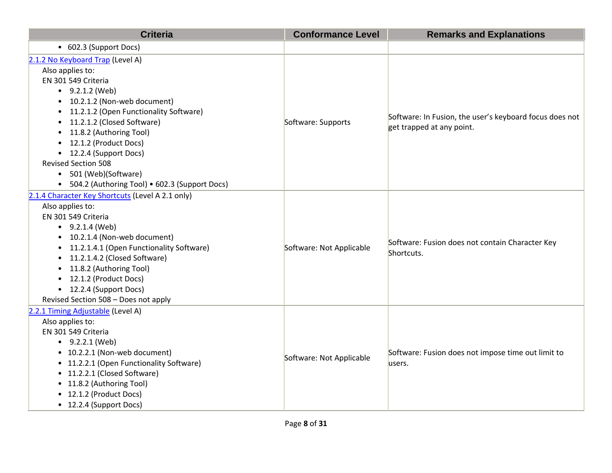| <b>Criteria</b>                                                                                                                                                                                                                                                                                                                                                                                                                               | <b>Conformance Level</b> | <b>Remarks and Explanations</b>                                                      |
|-----------------------------------------------------------------------------------------------------------------------------------------------------------------------------------------------------------------------------------------------------------------------------------------------------------------------------------------------------------------------------------------------------------------------------------------------|--------------------------|--------------------------------------------------------------------------------------|
| • 602.3 (Support Docs)                                                                                                                                                                                                                                                                                                                                                                                                                        |                          |                                                                                      |
| 2.1.2 No Keyboard Trap (Level A)<br>Also applies to:<br>EN 301 549 Criteria<br>$\bullet$ 9.2.1.2 (Web)<br>10.2.1.2 (Non-web document)<br>$\bullet$<br>11.2.1.2 (Open Functionality Software)<br>$\bullet$<br>11.2.1.2 (Closed Software)<br>$\bullet$<br>11.8.2 (Authoring Tool)<br>12.1.2 (Product Docs)<br>• 12.2.4 (Support Docs)<br><b>Revised Section 508</b><br>• 501 (Web)(Software)<br>• 504.2 (Authoring Tool) • 602.3 (Support Docs) | Software: Supports       | Software: In Fusion, the user's keyboard focus does not<br>get trapped at any point. |
| 2.1.4 Character Key Shortcuts (Level A 2.1 only)<br>Also applies to:<br>EN 301 549 Criteria<br>$\bullet$ 9.2.1.4 (Web)<br>10.2.1.4 (Non-web document)<br>$\bullet$<br>11.2.1.4.1 (Open Functionality Software)<br>11.2.1.4.2 (Closed Software)<br>11.8.2 (Authoring Tool)<br>12.1.2 (Product Docs)<br>• 12.2.4 (Support Docs)<br>Revised Section 508 - Does not apply                                                                         | Software: Not Applicable | Software: Fusion does not contain Character Key<br>Shortcuts.                        |
| 2.2.1 Timing Adjustable (Level A)<br>Also applies to:<br>EN 301 549 Criteria<br>$-9.2.2.1$ (Web)<br>• 10.2.2.1 (Non-web document)<br>• 11.2.2.1 (Open Functionality Software)<br>• 11.2.2.1 (Closed Software)<br>• 11.8.2 (Authoring Tool)<br>• 12.1.2 (Product Docs)<br>• 12.2.4 (Support Docs)                                                                                                                                              | Software: Not Applicable | Software: Fusion does not impose time out limit to<br>users.                         |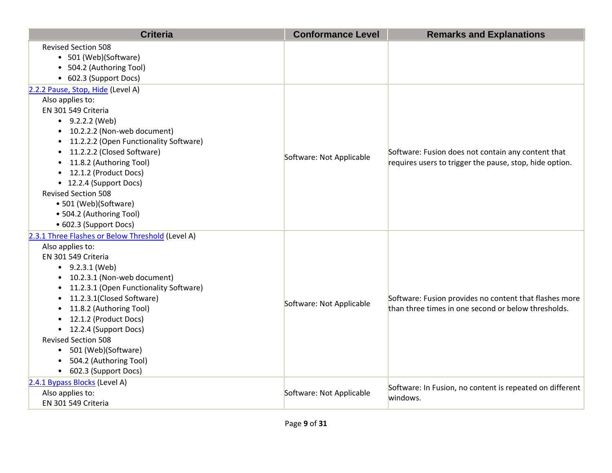| <b>Criteria</b>                                                                                                                                                                                                                                                                                                                                                                                                   | <b>Conformance Level</b> | <b>Remarks and Explanations</b>                                                                               |
|-------------------------------------------------------------------------------------------------------------------------------------------------------------------------------------------------------------------------------------------------------------------------------------------------------------------------------------------------------------------------------------------------------------------|--------------------------|---------------------------------------------------------------------------------------------------------------|
| <b>Revised Section 508</b><br>• 501 (Web)(Software)                                                                                                                                                                                                                                                                                                                                                               |                          |                                                                                                               |
| • 504.2 (Authoring Tool)                                                                                                                                                                                                                                                                                                                                                                                          |                          |                                                                                                               |
| • 602.3 (Support Docs)                                                                                                                                                                                                                                                                                                                                                                                            |                          |                                                                                                               |
| 2.2.2 Pause, Stop, Hide (Level A)<br>Also applies to:<br>EN 301 549 Criteria<br>$-9.2.2.2$ (Web)<br>• 10.2.2.2 (Non-web document)<br>• 11.2.2.2 (Open Functionality Software)<br>11.2.2.2 (Closed Software)<br>11.8.2 (Authoring Tool)<br>• 12.1.2 (Product Docs)<br>• 12.2.4 (Support Docs)<br><b>Revised Section 508</b><br>• 501 (Web)(Software)<br>• 504.2 (Authoring Tool)                                   | Software: Not Applicable | Software: Fusion does not contain any content that<br>requires users to trigger the pause, stop, hide option. |
| • 602.3 (Support Docs)                                                                                                                                                                                                                                                                                                                                                                                            |                          |                                                                                                               |
| 2.3.1 Three Flashes or Below Threshold (Level A)<br>Also applies to:<br>EN 301 549 Criteria<br>$-9.2.3.1$ (Web)<br>• 10.2.3.1 (Non-web document)<br>11.2.3.1 (Open Functionality Software)<br>11.2.3.1(Closed Software)<br>11.8.2 (Authoring Tool)<br>12.1.2 (Product Docs)<br>• 12.2.4 (Support Docs)<br><b>Revised Section 508</b><br>• 501 (Web)(Software)<br>504.2 (Authoring Tool)<br>• 602.3 (Support Docs) | Software: Not Applicable | Software: Fusion provides no content that flashes more<br>than three times in one second or below thresholds. |
| 2.4.1 Bypass Blocks (Level A)<br>Also applies to:<br>EN 301 549 Criteria                                                                                                                                                                                                                                                                                                                                          | Software: Not Applicable | Software: In Fusion, no content is repeated on different<br>windows.                                          |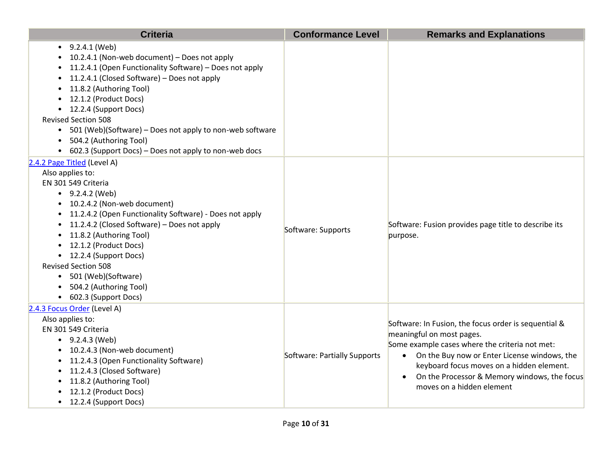| <b>Criteria</b>                                                                                                                                                                                                                                                                                                                                                                                                                                         | <b>Conformance Level</b>     | <b>Remarks and Explanations</b>                                                                                                                                                                                                                                                                                 |
|---------------------------------------------------------------------------------------------------------------------------------------------------------------------------------------------------------------------------------------------------------------------------------------------------------------------------------------------------------------------------------------------------------------------------------------------------------|------------------------------|-----------------------------------------------------------------------------------------------------------------------------------------------------------------------------------------------------------------------------------------------------------------------------------------------------------------|
| $-9.2.4.1$ (Web)<br>10.2.4.1 (Non-web document) - Does not apply<br>11.2.4.1 (Open Functionality Software) - Does not apply<br>11.2.4.1 (Closed Software) - Does not apply<br>11.8.2 (Authoring Tool)<br>12.1.2 (Product Docs)<br>• 12.2.4 (Support Docs)<br><b>Revised Section 508</b><br>• 501 (Web)(Software) – Does not apply to non-web software<br>504.2 (Authoring Tool)<br>$\bullet$<br>• 602.3 (Support Docs) – Does not apply to non-web docs |                              |                                                                                                                                                                                                                                                                                                                 |
| 2.4.2 Page Titled (Level A)<br>Also applies to:<br>EN 301 549 Criteria<br>$-9.2.4.2$ (Web)<br>• 10.2.4.2 (Non-web document)<br>11.2.4.2 (Open Functionality Software) - Does not apply<br>11.2.4.2 (Closed Software) – Does not apply<br>11.8.2 (Authoring Tool)<br>12.1.2 (Product Docs)<br>• 12.2.4 (Support Docs)<br><b>Revised Section 508</b><br>• 501 (Web)(Software)<br>504.2 (Authoring Tool)<br>• 602.3 (Support Docs)                         | Software: Supports           | Software: Fusion provides page title to describe its<br>purpose.                                                                                                                                                                                                                                                |
| 2.4.3 Focus Order (Level A)<br>Also applies to:<br>EN 301 549 Criteria<br>$\bullet$ 9.2.4.3 (Web)<br>• 10.2.4.3 (Non-web document)<br>• 11.2.4.3 (Open Functionality Software)<br>11.2.4.3 (Closed Software)<br>11.8.2 (Authoring Tool)<br>12.1.2 (Product Docs)<br>• 12.2.4 (Support Docs)                                                                                                                                                             | Software: Partially Supports | Software: In Fusion, the focus order is sequential &<br>meaningful on most pages.<br>Some example cases where the criteria not met:<br>• On the Buy now or Enter License windows, the<br>keyboard focus moves on a hidden element.<br>On the Processor & Memory windows, the focus<br>moves on a hidden element |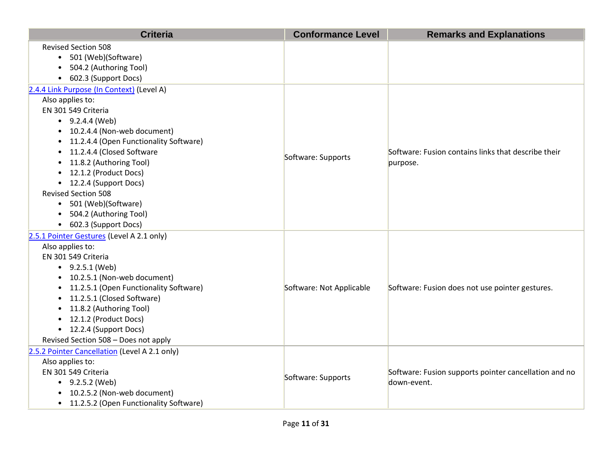| <b>Criteria</b>                                          | <b>Conformance Level</b> | <b>Remarks and Explanations</b>                       |
|----------------------------------------------------------|--------------------------|-------------------------------------------------------|
| <b>Revised Section 508</b><br>• 501 (Web)(Software)      |                          |                                                       |
| • 504.2 (Authoring Tool)                                 |                          |                                                       |
| • 602.3 (Support Docs)                                   |                          |                                                       |
| 2.4.4 Link Purpose (In Context) (Level A)                |                          |                                                       |
| Also applies to:                                         |                          |                                                       |
| EN 301 549 Criteria                                      |                          |                                                       |
| $\bullet$ 9.2.4.4 (Web)                                  |                          |                                                       |
| • 10.2.4.4 (Non-web document)                            |                          |                                                       |
| • 11.2.4.4 (Open Functionality Software)                 |                          |                                                       |
| 11.2.4.4 (Closed Software                                | Software: Supports       | Software: Fusion contains links that describe their   |
| 11.8.2 (Authoring Tool)<br>$\bullet$                     |                          | purpose.                                              |
| • 12.1.2 (Product Docs)                                  |                          |                                                       |
| • 12.2.4 (Support Docs)                                  |                          |                                                       |
| <b>Revised Section 508</b>                               |                          |                                                       |
| • 501 (Web)(Software)                                    |                          |                                                       |
| • 504.2 (Authoring Tool)                                 |                          |                                                       |
| • 602.3 (Support Docs)                                   |                          |                                                       |
| 2.5.1 Pointer Gestures (Level A 2.1 only)                |                          |                                                       |
| Also applies to:                                         |                          |                                                       |
| EN 301 549 Criteria                                      |                          |                                                       |
| $\bullet$ 9.2.5.1 (Web)<br>• 10.2.5.1 (Non-web document) |                          |                                                       |
| • 11.2.5.1 (Open Functionality Software)                 | Software: Not Applicable | Software: Fusion does not use pointer gestures.       |
| • 11.2.5.1 (Closed Software)                             |                          |                                                       |
| 11.8.2 (Authoring Tool)                                  |                          |                                                       |
| • 12.1.2 (Product Docs)                                  |                          |                                                       |
| • 12.2.4 (Support Docs)                                  |                          |                                                       |
| Revised Section 508 - Does not apply                     |                          |                                                       |
| 2.5.2 Pointer Cancellation (Level A 2.1 only)            |                          |                                                       |
| Also applies to:                                         |                          |                                                       |
| EN 301 549 Criteria                                      | Software: Supports       | Software: Fusion supports pointer cancellation and no |
| $-9.2.5.2$ (Web)                                         |                          | down-event.                                           |
| • 10.2.5.2 (Non-web document)                            |                          |                                                       |
| • 11.2.5.2 (Open Functionality Software)                 |                          |                                                       |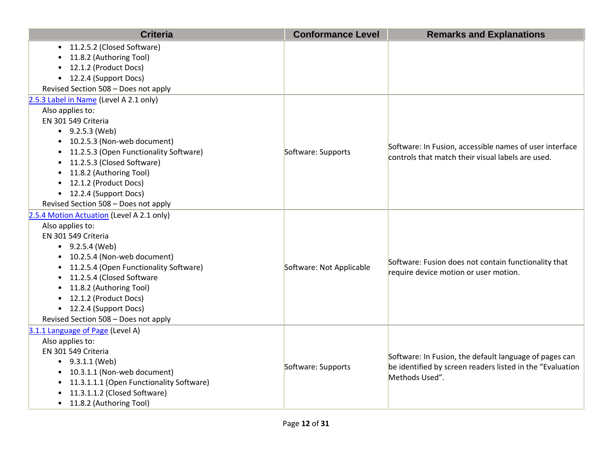| <b>Criteria</b>                                     | <b>Conformance Level</b> | <b>Remarks and Explanations</b>                           |
|-----------------------------------------------------|--------------------------|-----------------------------------------------------------|
| 11.2.5.2 (Closed Software)<br>$\bullet$             |                          |                                                           |
| 11.8.2 (Authoring Tool)                             |                          |                                                           |
| 12.1.2 (Product Docs)                               |                          |                                                           |
| 12.2.4 (Support Docs)<br>$\bullet$                  |                          |                                                           |
| Revised Section 508 - Does not apply                |                          |                                                           |
| 2.5.3 Label in Name (Level A 2.1 only)              |                          |                                                           |
| Also applies to:                                    |                          |                                                           |
| EN 301 549 Criteria                                 |                          |                                                           |
| • $9.2.5.3$ (Web)                                   |                          |                                                           |
| 10.2.5.3 (Non-web document)<br>$\bullet$            |                          | Software: In Fusion, accessible names of user interface   |
| 11.2.5.3 (Open Functionality Software)<br>$\bullet$ | Software: Supports       | controls that match their visual labels are used.         |
| 11.2.5.3 (Closed Software)<br>$\bullet$             |                          |                                                           |
| 11.8.2 (Authoring Tool)                             |                          |                                                           |
| • 12.1.2 (Product Docs)                             |                          |                                                           |
| • 12.2.4 (Support Docs)                             |                          |                                                           |
| Revised Section 508 - Does not apply                |                          |                                                           |
| 2.5.4 Motion Actuation (Level A 2.1 only)           |                          |                                                           |
| Also applies to:                                    |                          |                                                           |
| EN 301 549 Criteria                                 |                          |                                                           |
| • $9.2.5.4$ (Web)                                   |                          |                                                           |
| 10.2.5.4 (Non-web document)                         |                          | Software: Fusion does not contain functionality that      |
| 11.2.5.4 (Open Functionality Software)              | Software: Not Applicable | require device motion or user motion.                     |
| 11.2.5.4 (Closed Software                           |                          |                                                           |
| 11.8.2 (Authoring Tool)                             |                          |                                                           |
| 12.1.2 (Product Docs)<br>$\bullet$                  |                          |                                                           |
| • 12.2.4 (Support Docs)                             |                          |                                                           |
| Revised Section 508 - Does not apply                |                          |                                                           |
| 3.1.1 Language of Page (Level A)                    |                          |                                                           |
| Also applies to:                                    |                          |                                                           |
| EN 301 549 Criteria                                 |                          | Software: In Fusion, the default language of pages can    |
| $\bullet$ 9.3.1.1 (Web)                             | Software: Supports       | be identified by screen readers listed in the "Evaluation |
| • 10.3.1.1 (Non-web document)                       |                          | Methods Used".                                            |
| 11.3.1.1.1 (Open Functionality Software)            |                          |                                                           |
| 11.3.1.1.2 (Closed Software)                        |                          |                                                           |
| • 11.8.2 (Authoring Tool)                           |                          |                                                           |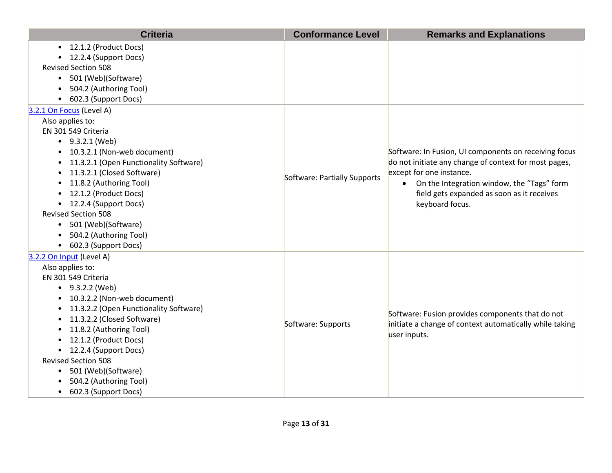| 12.1.2 (Product Docs)<br>$\bullet$<br>12.2.4 (Support Docs)<br>$\bullet$<br><b>Revised Section 508</b><br>501 (Web)(Software)<br>$\bullet$<br>504.2 (Authoring Tool)<br>602.3 (Support Docs)<br>$\bullet$<br>3.2.1 On Focus (Level A)<br>Also applies to:<br>EN 301 549 Criteria<br>$\bullet$ 9.3.2.1 (Web)<br>10.3.2.1 (Non-web document)<br>Software: In Fusion, UI components on receiving focus<br>$\bullet$<br>do not initiate any change of context for most pages,<br>11.3.2.1 (Open Functionality Software)<br>٠<br>11.3.2.1 (Closed Software)<br>except for one instance.<br>$\bullet$<br>Software: Partially Supports<br>On the Integration window, the "Tags" form<br>11.8.2 (Authoring Tool)<br>$\bullet$<br>$\bullet$<br>12.1.2 (Product Docs)<br>field gets expanded as soon as it receives<br>12.2.4 (Support Docs)<br>keyboard focus.<br>٠<br><b>Revised Section 508</b><br>501 (Web)(Software)<br>$\bullet$<br>504.2 (Authoring Tool)<br>$\bullet$<br>602.3 (Support Docs)<br>$\bullet$<br>3.2.2 On Input (Level A)<br>Also applies to:<br>EN 301 549 Criteria<br>• $9.3.2.2$ (Web)<br>10.3.2.2 (Non-web document)<br>11.3.2.2 (Open Functionality Software)<br>٠<br>Software: Fusion provides components that do not<br>11.3.2.2 (Closed Software)<br>٠<br>Software: Supports<br>initiate a change of context automatically while taking<br>11.8.2 (Authoring Tool)<br>$\bullet$<br>user inputs.<br>12.1.2 (Product Docs)<br>$\bullet$<br>12.2.4 (Support Docs)<br>$\bullet$<br><b>Revised Section 508</b><br>501 (Web)(Software)<br>٠<br>504.2 (Authoring Tool) | <b>Criteria</b> | <b>Conformance Level</b> | <b>Remarks and Explanations</b> |
|------------------------------------------------------------------------------------------------------------------------------------------------------------------------------------------------------------------------------------------------------------------------------------------------------------------------------------------------------------------------------------------------------------------------------------------------------------------------------------------------------------------------------------------------------------------------------------------------------------------------------------------------------------------------------------------------------------------------------------------------------------------------------------------------------------------------------------------------------------------------------------------------------------------------------------------------------------------------------------------------------------------------------------------------------------------------------------------------------------------------------------------------------------------------------------------------------------------------------------------------------------------------------------------------------------------------------------------------------------------------------------------------------------------------------------------------------------------------------------------------------------------------------------------------------------------------------------|-----------------|--------------------------|---------------------------------|
|                                                                                                                                                                                                                                                                                                                                                                                                                                                                                                                                                                                                                                                                                                                                                                                                                                                                                                                                                                                                                                                                                                                                                                                                                                                                                                                                                                                                                                                                                                                                                                                    |                 |                          |                                 |
|                                                                                                                                                                                                                                                                                                                                                                                                                                                                                                                                                                                                                                                                                                                                                                                                                                                                                                                                                                                                                                                                                                                                                                                                                                                                                                                                                                                                                                                                                                                                                                                    |                 |                          |                                 |
|                                                                                                                                                                                                                                                                                                                                                                                                                                                                                                                                                                                                                                                                                                                                                                                                                                                                                                                                                                                                                                                                                                                                                                                                                                                                                                                                                                                                                                                                                                                                                                                    |                 |                          |                                 |
|                                                                                                                                                                                                                                                                                                                                                                                                                                                                                                                                                                                                                                                                                                                                                                                                                                                                                                                                                                                                                                                                                                                                                                                                                                                                                                                                                                                                                                                                                                                                                                                    |                 |                          |                                 |
|                                                                                                                                                                                                                                                                                                                                                                                                                                                                                                                                                                                                                                                                                                                                                                                                                                                                                                                                                                                                                                                                                                                                                                                                                                                                                                                                                                                                                                                                                                                                                                                    |                 |                          |                                 |
|                                                                                                                                                                                                                                                                                                                                                                                                                                                                                                                                                                                                                                                                                                                                                                                                                                                                                                                                                                                                                                                                                                                                                                                                                                                                                                                                                                                                                                                                                                                                                                                    |                 |                          |                                 |
|                                                                                                                                                                                                                                                                                                                                                                                                                                                                                                                                                                                                                                                                                                                                                                                                                                                                                                                                                                                                                                                                                                                                                                                                                                                                                                                                                                                                                                                                                                                                                                                    |                 |                          |                                 |
|                                                                                                                                                                                                                                                                                                                                                                                                                                                                                                                                                                                                                                                                                                                                                                                                                                                                                                                                                                                                                                                                                                                                                                                                                                                                                                                                                                                                                                                                                                                                                                                    |                 |                          |                                 |
|                                                                                                                                                                                                                                                                                                                                                                                                                                                                                                                                                                                                                                                                                                                                                                                                                                                                                                                                                                                                                                                                                                                                                                                                                                                                                                                                                                                                                                                                                                                                                                                    |                 |                          |                                 |
|                                                                                                                                                                                                                                                                                                                                                                                                                                                                                                                                                                                                                                                                                                                                                                                                                                                                                                                                                                                                                                                                                                                                                                                                                                                                                                                                                                                                                                                                                                                                                                                    |                 |                          |                                 |
|                                                                                                                                                                                                                                                                                                                                                                                                                                                                                                                                                                                                                                                                                                                                                                                                                                                                                                                                                                                                                                                                                                                                                                                                                                                                                                                                                                                                                                                                                                                                                                                    |                 |                          |                                 |
|                                                                                                                                                                                                                                                                                                                                                                                                                                                                                                                                                                                                                                                                                                                                                                                                                                                                                                                                                                                                                                                                                                                                                                                                                                                                                                                                                                                                                                                                                                                                                                                    |                 |                          |                                 |
|                                                                                                                                                                                                                                                                                                                                                                                                                                                                                                                                                                                                                                                                                                                                                                                                                                                                                                                                                                                                                                                                                                                                                                                                                                                                                                                                                                                                                                                                                                                                                                                    |                 |                          |                                 |
|                                                                                                                                                                                                                                                                                                                                                                                                                                                                                                                                                                                                                                                                                                                                                                                                                                                                                                                                                                                                                                                                                                                                                                                                                                                                                                                                                                                                                                                                                                                                                                                    |                 |                          |                                 |
|                                                                                                                                                                                                                                                                                                                                                                                                                                                                                                                                                                                                                                                                                                                                                                                                                                                                                                                                                                                                                                                                                                                                                                                                                                                                                                                                                                                                                                                                                                                                                                                    |                 |                          |                                 |
|                                                                                                                                                                                                                                                                                                                                                                                                                                                                                                                                                                                                                                                                                                                                                                                                                                                                                                                                                                                                                                                                                                                                                                                                                                                                                                                                                                                                                                                                                                                                                                                    |                 |                          |                                 |
|                                                                                                                                                                                                                                                                                                                                                                                                                                                                                                                                                                                                                                                                                                                                                                                                                                                                                                                                                                                                                                                                                                                                                                                                                                                                                                                                                                                                                                                                                                                                                                                    |                 |                          |                                 |
|                                                                                                                                                                                                                                                                                                                                                                                                                                                                                                                                                                                                                                                                                                                                                                                                                                                                                                                                                                                                                                                                                                                                                                                                                                                                                                                                                                                                                                                                                                                                                                                    |                 |                          |                                 |
|                                                                                                                                                                                                                                                                                                                                                                                                                                                                                                                                                                                                                                                                                                                                                                                                                                                                                                                                                                                                                                                                                                                                                                                                                                                                                                                                                                                                                                                                                                                                                                                    |                 |                          |                                 |
|                                                                                                                                                                                                                                                                                                                                                                                                                                                                                                                                                                                                                                                                                                                                                                                                                                                                                                                                                                                                                                                                                                                                                                                                                                                                                                                                                                                                                                                                                                                                                                                    |                 |                          |                                 |
|                                                                                                                                                                                                                                                                                                                                                                                                                                                                                                                                                                                                                                                                                                                                                                                                                                                                                                                                                                                                                                                                                                                                                                                                                                                                                                                                                                                                                                                                                                                                                                                    |                 |                          |                                 |
|                                                                                                                                                                                                                                                                                                                                                                                                                                                                                                                                                                                                                                                                                                                                                                                                                                                                                                                                                                                                                                                                                                                                                                                                                                                                                                                                                                                                                                                                                                                                                                                    |                 |                          |                                 |
|                                                                                                                                                                                                                                                                                                                                                                                                                                                                                                                                                                                                                                                                                                                                                                                                                                                                                                                                                                                                                                                                                                                                                                                                                                                                                                                                                                                                                                                                                                                                                                                    |                 |                          |                                 |
|                                                                                                                                                                                                                                                                                                                                                                                                                                                                                                                                                                                                                                                                                                                                                                                                                                                                                                                                                                                                                                                                                                                                                                                                                                                                                                                                                                                                                                                                                                                                                                                    |                 |                          |                                 |
|                                                                                                                                                                                                                                                                                                                                                                                                                                                                                                                                                                                                                                                                                                                                                                                                                                                                                                                                                                                                                                                                                                                                                                                                                                                                                                                                                                                                                                                                                                                                                                                    |                 |                          |                                 |
|                                                                                                                                                                                                                                                                                                                                                                                                                                                                                                                                                                                                                                                                                                                                                                                                                                                                                                                                                                                                                                                                                                                                                                                                                                                                                                                                                                                                                                                                                                                                                                                    |                 |                          |                                 |
|                                                                                                                                                                                                                                                                                                                                                                                                                                                                                                                                                                                                                                                                                                                                                                                                                                                                                                                                                                                                                                                                                                                                                                                                                                                                                                                                                                                                                                                                                                                                                                                    |                 |                          |                                 |
|                                                                                                                                                                                                                                                                                                                                                                                                                                                                                                                                                                                                                                                                                                                                                                                                                                                                                                                                                                                                                                                                                                                                                                                                                                                                                                                                                                                                                                                                                                                                                                                    |                 |                          |                                 |
|                                                                                                                                                                                                                                                                                                                                                                                                                                                                                                                                                                                                                                                                                                                                                                                                                                                                                                                                                                                                                                                                                                                                                                                                                                                                                                                                                                                                                                                                                                                                                                                    |                 |                          |                                 |
|                                                                                                                                                                                                                                                                                                                                                                                                                                                                                                                                                                                                                                                                                                                                                                                                                                                                                                                                                                                                                                                                                                                                                                                                                                                                                                                                                                                                                                                                                                                                                                                    |                 |                          |                                 |
|                                                                                                                                                                                                                                                                                                                                                                                                                                                                                                                                                                                                                                                                                                                                                                                                                                                                                                                                                                                                                                                                                                                                                                                                                                                                                                                                                                                                                                                                                                                                                                                    |                 |                          |                                 |
|                                                                                                                                                                                                                                                                                                                                                                                                                                                                                                                                                                                                                                                                                                                                                                                                                                                                                                                                                                                                                                                                                                                                                                                                                                                                                                                                                                                                                                                                                                                                                                                    |                 |                          |                                 |
| 602.3 (Support Docs)<br>$\bullet$                                                                                                                                                                                                                                                                                                                                                                                                                                                                                                                                                                                                                                                                                                                                                                                                                                                                                                                                                                                                                                                                                                                                                                                                                                                                                                                                                                                                                                                                                                                                                  |                 |                          |                                 |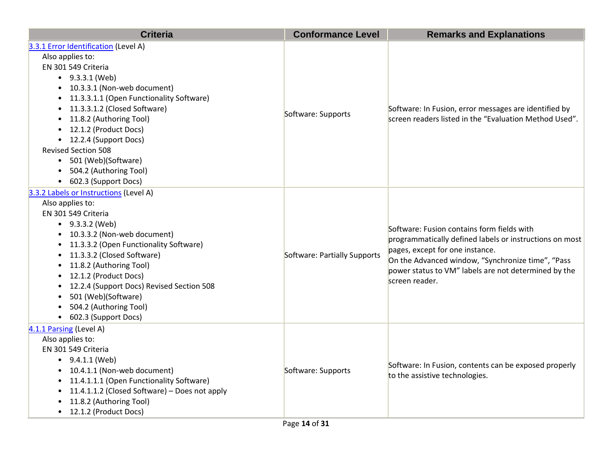| <b>Criteria</b>                                                                                                                                                                                                                                                                                                                                                                                                                                   | <b>Conformance Level</b>     | <b>Remarks and Explanations</b>                                                                                                                                                                                                                                         |
|---------------------------------------------------------------------------------------------------------------------------------------------------------------------------------------------------------------------------------------------------------------------------------------------------------------------------------------------------------------------------------------------------------------------------------------------------|------------------------------|-------------------------------------------------------------------------------------------------------------------------------------------------------------------------------------------------------------------------------------------------------------------------|
| 3.3.1 Error Identification (Level A)<br>Also applies to:<br>EN 301 549 Criteria<br>$\bullet$ 9.3.3.1 (Web)<br>• 10.3.3.1 (Non-web document)<br>• 11.3.3.1.1 (Open Functionality Software)<br>11.3.3.1.2 (Closed Software)<br>$\bullet$<br>11.8.2 (Authoring Tool)<br>$\bullet$<br>• 12.1.2 (Product Docs)<br>• 12.2.4 (Support Docs)<br><b>Revised Section 508</b><br>• 501 (Web)(Software)<br>• 504.2 (Authoring Tool)<br>• 602.3 (Support Docs) | Software: Supports           | Software: In Fusion, error messages are identified by<br>screen readers listed in the "Evaluation Method Used".                                                                                                                                                         |
| 3.3.2 Labels or Instructions (Level A)<br>Also applies to:<br>EN 301 549 Criteria<br>• $9.3.3.2$ (Web)<br>• 10.3.3.2 (Non-web document)<br>• 11.3.3.2 (Open Functionality Software)<br>• 11.3.3.2 (Closed Software)<br>• 11.8.2 (Authoring Tool)<br>• 12.1.2 (Product Docs)<br>• 12.2.4 (Support Docs) Revised Section 508<br>• 501 (Web)(Software)<br>504.2 (Authoring Tool)<br>• 602.3 (Support Docs)                                           | Software: Partially Supports | Software: Fusion contains form fields with<br>programmatically defined labels or instructions on most<br>pages, except for one instance.<br>On the Advanced window, "Synchronize time", "Pass<br>power status to VM" labels are not determined by the<br>screen reader. |
| 4.1.1 Parsing (Level A)<br>Also applies to:<br>EN 301 549 Criteria<br>$\bullet$ 9.4.1.1 (Web)<br>• 10.4.1.1 (Non-web document)<br>• 11.4.1.1.1 (Open Functionality Software)<br>• 11.4.1.1.2 (Closed Software) - Does not apply<br>11.8.2 (Authoring Tool)<br>• 12.1.2 (Product Docs)                                                                                                                                                             | Software: Supports           | Software: In Fusion, contents can be exposed properly<br>to the assistive technologies.                                                                                                                                                                                 |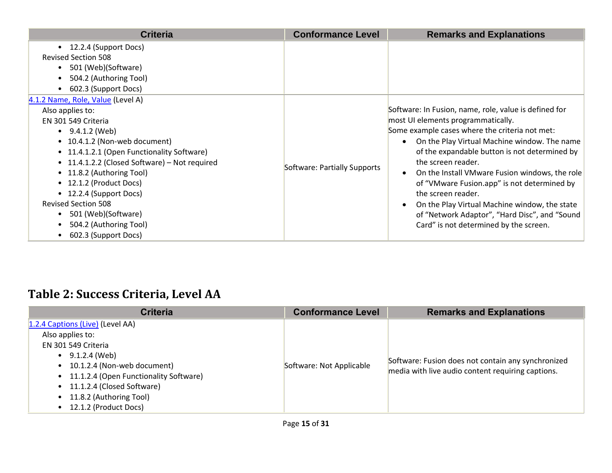| <b>Criteria</b>                               | <b>Conformance Level</b>     | <b>Remarks and Explanations</b>                            |
|-----------------------------------------------|------------------------------|------------------------------------------------------------|
| 12.2.4 (Support Docs)<br>$\bullet$            |                              |                                                            |
| <b>Revised Section 508</b>                    |                              |                                                            |
| 501 (Web)(Software)                           |                              |                                                            |
| 504.2 (Authoring Tool)                        |                              |                                                            |
| 602.3 (Support Docs)<br>$\bullet$             |                              |                                                            |
| 4.1.2 Name, Role, Value (Level A)             |                              |                                                            |
| Also applies to:                              |                              | Software: In Fusion, name, role, value is defined for      |
| EN 301 549 Criteria                           |                              | most UI elements programmatically.                         |
| $\bullet$ 9.4.1.2 (Web)                       |                              | Some example cases where the criteria not met:             |
| • 10.4.1.2 (Non-web document)                 |                              | On the Play Virtual Machine window. The name<br>$\bullet$  |
| • 11.4.1.2.1 (Open Functionality Software)    |                              | of the expandable button is not determined by              |
| • 11.4.1.2.2 (Closed Software) - Not required |                              | the screen reader.                                         |
| • 11.8.2 (Authoring Tool)                     | Software: Partially Supports | On the Install VMware Fusion windows, the role             |
| • 12.1.2 (Product Docs)                       |                              | of "VMware Fusion.app" is not determined by                |
| • 12.2.4 (Support Docs)                       |                              | the screen reader.                                         |
| <b>Revised Section 508</b>                    |                              | On the Play Virtual Machine window, the state<br>$\bullet$ |
| 501 (Web)(Software)                           |                              | of "Network Adaptor", "Hard Disc", and "Sound              |
| 504.2 (Authoring Tool)                        |                              | Card" is not determined by the screen.                     |
| 602.3 (Support Docs)                          |                              |                                                            |

## **Table 2: Success Criteria, Level AA**

| 1.2.4 Captions (Live) (Level AA)                                                                                                                                                                                                        |                          |                                                                                                         |
|-----------------------------------------------------------------------------------------------------------------------------------------------------------------------------------------------------------------------------------------|--------------------------|---------------------------------------------------------------------------------------------------------|
| Also applies to:<br>EN 301 549 Criteria<br>$\bullet$ 9.1.2.4 (Web)<br>• 10.1.2.4 (Non-web document)<br>• 11.1.2.4 (Open Functionality Software)<br>• 11.1.2.4 (Closed Software)<br>• 11.8.2 (Authoring Tool)<br>• 12.1.2 (Product Docs) | Software: Not Applicable | Software: Fusion does not contain any synchronized<br>media with live audio content requiring captions. |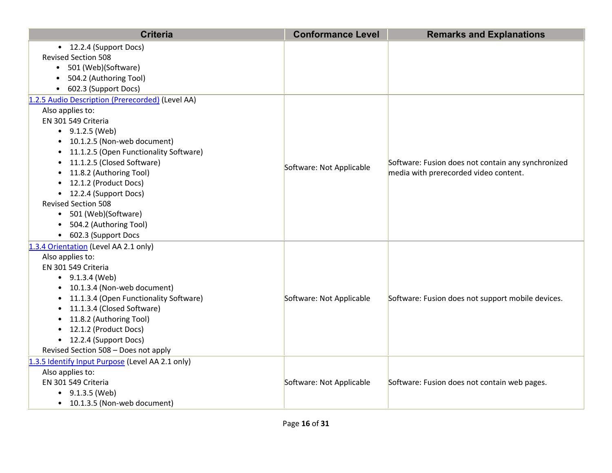| <b>Criteria</b>                                     | <b>Conformance Level</b> | <b>Remarks and Explanations</b>                    |
|-----------------------------------------------------|--------------------------|----------------------------------------------------|
| • 12.2.4 (Support Docs)                             |                          |                                                    |
| <b>Revised Section 508</b>                          |                          |                                                    |
| • 501 (Web)(Software)                               |                          |                                                    |
| 504.2 (Authoring Tool)                              |                          |                                                    |
| • 602.3 (Support Docs)                              |                          |                                                    |
| 1.2.5 Audio Description (Prerecorded) (Level AA)    |                          |                                                    |
| Also applies to:                                    |                          |                                                    |
| EN 301 549 Criteria                                 |                          |                                                    |
| $\bullet$ 9.1.2.5 (Web)                             |                          |                                                    |
| • 10.1.2.5 (Non-web document)                       |                          |                                                    |
| 11.1.2.5 (Open Functionality Software)<br>$\bullet$ |                          |                                                    |
| 11.1.2.5 (Closed Software)<br>$\bullet$             | Software: Not Applicable | Software: Fusion does not contain any synchronized |
| 11.8.2 (Authoring Tool)<br>$\bullet$                |                          | media with prerecorded video content.              |
| • 12.1.2 (Product Docs)                             |                          |                                                    |
| • 12.2.4 (Support Docs)                             |                          |                                                    |
| <b>Revised Section 508</b>                          |                          |                                                    |
| • 501 (Web)(Software)                               |                          |                                                    |
| • 504.2 (Authoring Tool)                            |                          |                                                    |
| • 602.3 (Support Docs                               |                          |                                                    |
| 1.3.4 Orientation (Level AA 2.1 only)               |                          |                                                    |
| Also applies to:                                    |                          |                                                    |
| EN 301 549 Criteria                                 |                          |                                                    |
| $\bullet$ 9.1.3.4 (Web)                             |                          |                                                    |
| 10.1.3.4 (Non-web document)                         |                          |                                                    |
| 11.1.3.4 (Open Functionality Software)<br>$\bullet$ | Software: Not Applicable | Software: Fusion does not support mobile devices.  |
| 11.1.3.4 (Closed Software)<br>$\bullet$             |                          |                                                    |
| 11.8.2 (Authoring Tool)<br>$\bullet$                |                          |                                                    |
| 12.1.2 (Product Docs)<br>$\bullet$                  |                          |                                                    |
| • 12.2.4 (Support Docs)                             |                          |                                                    |
| Revised Section 508 - Does not apply                |                          |                                                    |
| 1.3.5 Identify Input Purpose (Level AA 2.1 only)    |                          |                                                    |
| Also applies to:                                    |                          |                                                    |
| EN 301 549 Criteria                                 | Software: Not Applicable | Software: Fusion does not contain web pages.       |
| $\bullet$ 9.1.3.5 (Web)                             |                          |                                                    |
| • 10.1.3.5 (Non-web document)                       |                          |                                                    |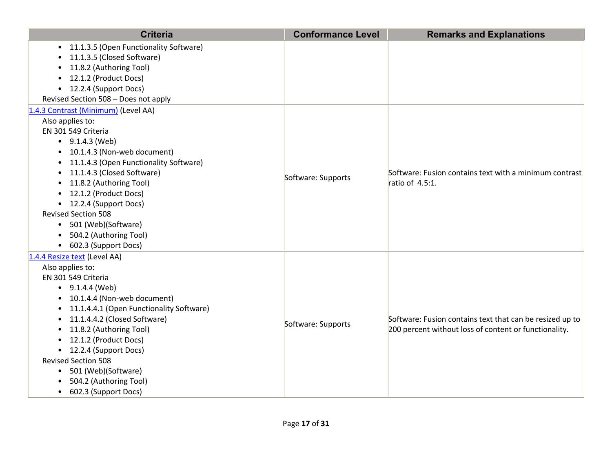| <b>Criteria</b>                                                                                                                                                                                                                                                                                                                                                                                                                      | <b>Conformance Level</b> | <b>Remarks and Explanations</b>                                                                                   |
|--------------------------------------------------------------------------------------------------------------------------------------------------------------------------------------------------------------------------------------------------------------------------------------------------------------------------------------------------------------------------------------------------------------------------------------|--------------------------|-------------------------------------------------------------------------------------------------------------------|
| • 11.1.3.5 (Open Functionality Software)<br>11.1.3.5 (Closed Software)<br>11.8.2 (Authoring Tool)<br>12.1.2 (Product Docs)<br>• 12.2.4 (Support Docs)<br>Revised Section 508 - Does not apply                                                                                                                                                                                                                                        |                          |                                                                                                                   |
| 1.4.3 Contrast (Minimum) (Level AA)<br>Also applies to:<br>EN 301 549 Criteria<br>$\bullet$ 9.1.4.3 (Web)<br>• 10.1.4.3 (Non-web document)<br>11.1.4.3 (Open Functionality Software)<br>11.1.4.3 (Closed Software)<br>11.8.2 (Authoring Tool)<br>$\bullet$<br>• 12.1.2 (Product Docs)<br>• 12.2.4 (Support Docs)<br><b>Revised Section 508</b><br>501 (Web)(Software)<br>504.2 (Authoring Tool)<br>602.3 (Support Docs)<br>$\bullet$ | Software: Supports       | Software: Fusion contains text with a minimum contrast<br>ratio of 4.5:1.                                         |
| 1.4.4 Resize text (Level AA)<br>Also applies to:<br>EN 301 549 Criteria<br>$\bullet$ 9.1.4.4 (Web)<br>• 10.1.4.4 (Non-web document)<br>• 11.1.4.4.1 (Open Functionality Software)<br>11.1.4.4.2 (Closed Software)<br>11.8.2 (Authoring Tool)<br>12.1.2 (Product Docs)<br>• 12.2.4 (Support Docs)<br><b>Revised Section 508</b><br>501 (Web)(Software)<br>$\bullet$<br>504.2 (Authoring Tool)<br>• 602.3 (Support Docs)               | Software: Supports       | Software: Fusion contains text that can be resized up to<br>200 percent without loss of content or functionality. |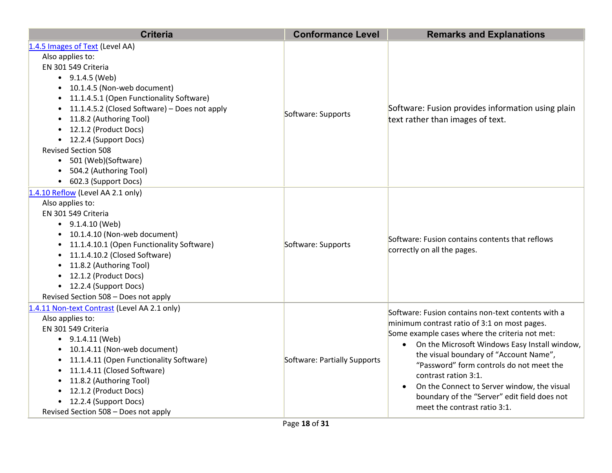| <b>Criteria</b>                                                                                                                                                                                                                                                                                                                                                                                                                                               | <b>Conformance Level</b>     | <b>Remarks and Explanations</b>                                                                                                                                                                                                                                                                                                                                                                                                                      |
|---------------------------------------------------------------------------------------------------------------------------------------------------------------------------------------------------------------------------------------------------------------------------------------------------------------------------------------------------------------------------------------------------------------------------------------------------------------|------------------------------|------------------------------------------------------------------------------------------------------------------------------------------------------------------------------------------------------------------------------------------------------------------------------------------------------------------------------------------------------------------------------------------------------------------------------------------------------|
| 1.4.5 Images of Text (Level AA)<br>Also applies to:<br>EN 301 549 Criteria<br>$\bullet$ 9.1.4.5 (Web)<br>• 10.1.4.5 (Non-web document)<br>• 11.1.4.5.1 (Open Functionality Software)<br>• 11.1.4.5.2 (Closed Software) - Does not apply<br>11.8.2 (Authoring Tool)<br>$\bullet$<br>• 12.1.2 (Product Docs)<br>• 12.2.4 (Support Docs)<br><b>Revised Section 508</b><br>• 501 (Web)(Software)<br>504.2 (Authoring Tool)<br>$\bullet$<br>• 602.3 (Support Docs) | Software: Supports           | Software: Fusion provides information using plain<br>text rather than images of text.                                                                                                                                                                                                                                                                                                                                                                |
| 1.4.10 Reflow (Level AA 2.1 only)<br>Also applies to:<br>EN 301 549 Criteria<br>$\bullet$ 9.1.4.10 (Web)<br>• 10.1.4.10 (Non-web document)<br>• 11.1.4.10.1 (Open Functionality Software)<br>• 11.1.4.10.2 (Closed Software)<br>• 11.8.2 (Authoring Tool)<br>• 12.1.2 (Product Docs)<br>• 12.2.4 (Support Docs)<br>Revised Section 508 - Does not apply                                                                                                       | Software: Supports           | Software: Fusion contains contents that reflows<br>correctly on all the pages.                                                                                                                                                                                                                                                                                                                                                                       |
| 1.4.11 Non-text Contrast (Level AA 2.1 only)<br>Also applies to:<br>EN 301 549 Criteria<br>$\bullet$ 9.1.4.11 (Web)<br>• 10.1.4.11 (Non-web document)<br>• 11.1.4.11 (Open Functionality Software)<br>• 11.1.4.11 (Closed Software)<br>• 11.8.2 (Authoring Tool)<br>• 12.1.2 (Product Docs)<br>• 12.2.4 (Support Docs)<br>Revised Section 508 - Does not apply                                                                                                | Software: Partially Supports | Software: Fusion contains non-text contents with a<br>minimum contrast ratio of 3:1 on most pages.<br>Some example cases where the criteria not met:<br>• On the Microsoft Windows Easy Install window,<br>the visual boundary of "Account Name",<br>"Password" form controls do not meet the<br>contrast ration 3:1.<br>On the Connect to Server window, the visual<br>boundary of the "Server" edit field does not<br>meet the contrast ratio 3:1. |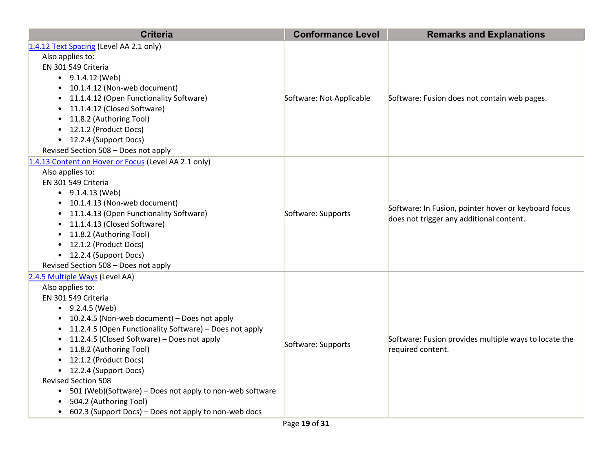| <b>Criteria</b>                                                                                                                                                                                                                                                                                                                                                                                                                                                                                                                                                                               | <b>Conformance Level</b> | <b>Remarks and Explanations</b>                                                                  |
|-----------------------------------------------------------------------------------------------------------------------------------------------------------------------------------------------------------------------------------------------------------------------------------------------------------------------------------------------------------------------------------------------------------------------------------------------------------------------------------------------------------------------------------------------------------------------------------------------|--------------------------|--------------------------------------------------------------------------------------------------|
| 1.4.12 Text Spacing (Level AA 2.1 only)<br>Also applies to:<br>EN 301 549 Criteria<br>$\bullet$ 9.1.4.12 (Web)<br>• 10.1.4.12 (Non-web document)<br>11.1.4.12 (Open Functionality Software)<br>$\bullet$<br>11.1.4.12 (Closed Software)<br>$\bullet$<br>11.8.2 (Authoring Tool)<br>$\bullet$<br>12.1.2 (Product Docs)<br>$\bullet$<br>• 12.2.4 (Support Docs)<br>Revised Section 508 - Does not apply                                                                                                                                                                                         | Software: Not Applicable | Software: Fusion does not contain web pages.                                                     |
| 1.4.13 Content on Hover or Focus (Level AA 2.1 only)<br>Also applies to:<br>EN 301 549 Criteria<br>$\bullet$ 9.1.4.13 (Web)<br>• 10.1.4.13 (Non-web document)<br>11.1.4.13 (Open Functionality Software)<br>$\bullet$<br>11.1.4.13 (Closed Software)<br>$\bullet$<br>11.8.2 (Authoring Tool)<br>$\bullet$<br>12.1.2 (Product Docs)<br>$\bullet$<br>• 12.2.4 (Support Docs)<br>Revised Section 508 - Does not apply                                                                                                                                                                            | Software: Supports       | Software: In Fusion, pointer hover or keyboard focus<br>does not trigger any additional content. |
| 2.4.5 Multiple Ways (Level AA)<br>Also applies to:<br>EN 301 549 Criteria<br>$\bullet$ 9.2.4.5 (Web)<br>• 10.2.4.5 (Non-web document) - Does not apply<br>11.2.4.5 (Open Functionality Software) - Does not apply<br>$\bullet$<br>11.2.4.5 (Closed Software) - Does not apply<br>$\bullet$<br>11.8.2 (Authoring Tool)<br>$\bullet$<br>12.1.2 (Product Docs)<br>$\bullet$<br>• 12.2.4 (Support Docs)<br><b>Revised Section 508</b><br>501 (Web)(Software) - Does not apply to non-web software<br>$\bullet$<br>504.2 (Authoring Tool)<br>602.3 (Support Docs) – Does not apply to non-web docs | Software: Supports       | Software: Fusion provides multiple ways to locate the<br>required content.                       |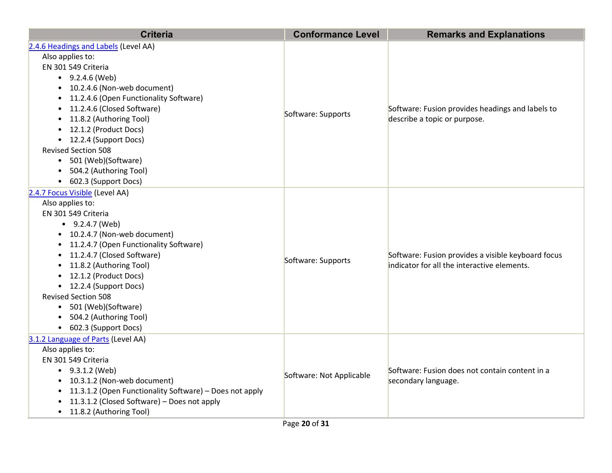| <b>Criteria</b>                                         | <b>Conformance Level</b> | <b>Remarks and Explanations</b>                                                  |
|---------------------------------------------------------|--------------------------|----------------------------------------------------------------------------------|
| 2.4.6 Headings and Labels (Level AA)                    |                          |                                                                                  |
| Also applies to:                                        |                          |                                                                                  |
| EN 301 549 Criteria                                     |                          |                                                                                  |
| $-9.2.4.6$ (Web)                                        |                          |                                                                                  |
| • 10.2.4.6 (Non-web document)                           |                          |                                                                                  |
| • 11.2.4.6 (Open Functionality Software)                |                          |                                                                                  |
| 11.2.4.6 (Closed Software)                              | Software: Supports       | Software: Fusion provides headings and labels to<br>describe a topic or purpose. |
| 11.8.2 (Authoring Tool)                                 |                          |                                                                                  |
| • 12.1.2 (Product Docs)                                 |                          |                                                                                  |
| • 12.2.4 (Support Docs)                                 |                          |                                                                                  |
| <b>Revised Section 508</b>                              |                          |                                                                                  |
| • 501 (Web)(Software)                                   |                          |                                                                                  |
| 504.2 (Authoring Tool)                                  |                          |                                                                                  |
| • 602.3 (Support Docs)                                  |                          |                                                                                  |
| 2.4.7 Focus Visible (Level AA)                          |                          |                                                                                  |
| Also applies to:                                        |                          |                                                                                  |
| EN 301 549 Criteria                                     |                          |                                                                                  |
| $-9.2.4.7$ (Web)                                        | Software: Supports       |                                                                                  |
| • 10.2.4.7 (Non-web document)                           |                          |                                                                                  |
| • 11.2.4.7 (Open Functionality Software)                |                          |                                                                                  |
| 11.2.4.7 (Closed Software)<br>$\bullet$                 |                          | Software: Fusion provides a visible keyboard focus                               |
| 11.8.2 (Authoring Tool)                                 |                          | indicator for all the interactive elements.                                      |
| 12.1.2 (Product Docs)                                   |                          |                                                                                  |
| • 12.2.4 (Support Docs)                                 |                          |                                                                                  |
| <b>Revised Section 508</b>                              |                          |                                                                                  |
| • 501 (Web)(Software)                                   |                          |                                                                                  |
| 504.2 (Authoring Tool)                                  |                          |                                                                                  |
| • 602.3 (Support Docs)                                  |                          |                                                                                  |
| 3.1.2 Language of Parts (Level AA)                      |                          |                                                                                  |
| Also applies to:                                        |                          |                                                                                  |
| EN 301 549 Criteria                                     |                          |                                                                                  |
| $\bullet$ 9.3.1.2 (Web)                                 | Software: Not Applicable | Software: Fusion does not contain content in a                                   |
| • 10.3.1.2 (Non-web document)                           |                          | secondary language.                                                              |
| 11.3.1.2 (Open Functionality Software) - Does not apply |                          |                                                                                  |
| 11.3.1.2 (Closed Software) - Does not apply             |                          |                                                                                  |
| • 11.8.2 (Authoring Tool)                               |                          |                                                                                  |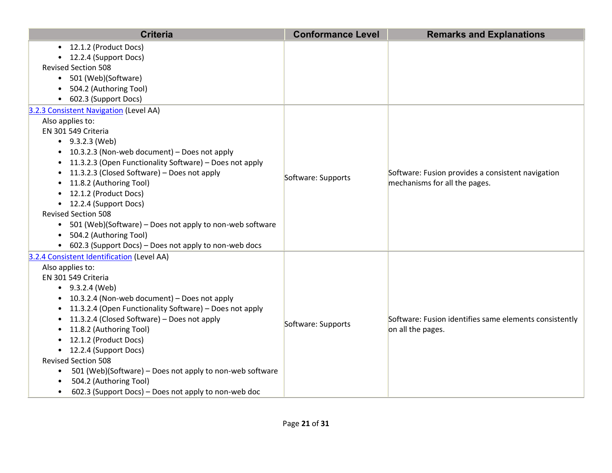| <b>Criteria</b>                                                                                                                                                                                                                                                                                                                                                                                                                                                                                                                                                  | <b>Conformance Level</b> | <b>Remarks and Explanations</b>                                                    |
|------------------------------------------------------------------------------------------------------------------------------------------------------------------------------------------------------------------------------------------------------------------------------------------------------------------------------------------------------------------------------------------------------------------------------------------------------------------------------------------------------------------------------------------------------------------|--------------------------|------------------------------------------------------------------------------------|
| • 12.1.2 (Product Docs)<br>• 12.2.4 (Support Docs)<br><b>Revised Section 508</b><br>501 (Web)(Software)<br>$\bullet$                                                                                                                                                                                                                                                                                                                                                                                                                                             |                          |                                                                                    |
| 504.2 (Authoring Tool)<br>602.3 (Support Docs)                                                                                                                                                                                                                                                                                                                                                                                                                                                                                                                   |                          |                                                                                    |
| 3.2.3 Consistent Navigation (Level AA)<br>Also applies to:<br>EN 301 549 Criteria<br>$\bullet$ 9.3.2.3 (Web)<br>• 10.3.2.3 (Non-web document) - Does not apply<br>11.3.2.3 (Open Functionality Software) - Does not apply<br>11.3.2.3 (Closed Software) - Does not apply<br>$\bullet$<br>11.8.2 (Authoring Tool)<br>• 12.1.2 (Product Docs)<br>• 12.2.4 (Support Docs)<br><b>Revised Section 508</b><br>501 (Web)(Software) - Does not apply to non-web software<br>$\bullet$<br>504.2 (Authoring Tool)<br>602.3 (Support Docs) - Does not apply to non-web docs | Software: Supports       | Software: Fusion provides a consistent navigation<br>mechanisms for all the pages. |
| 3.2.4 Consistent Identification (Level AA)<br>Also applies to:<br>EN 301 549 Criteria<br>$-9.3.2.4$ (Web)<br>• 10.3.2.4 (Non-web document) - Does not apply<br>11.3.2.4 (Open Functionality Software) - Does not apply<br>11.3.2.4 (Closed Software) - Does not apply<br>11.8.2 (Authoring Tool)<br>12.1.2 (Product Docs)<br>• 12.2.4 (Support Docs)<br><b>Revised Section 508</b><br>501 (Web)(Software) - Does not apply to non-web software<br>$\bullet$<br>504.2 (Authoring Tool)<br>602.3 (Support Docs) – Does not apply to non-web doc                    | Software: Supports       | Software: Fusion identifies same elements consistently<br>on all the pages.        |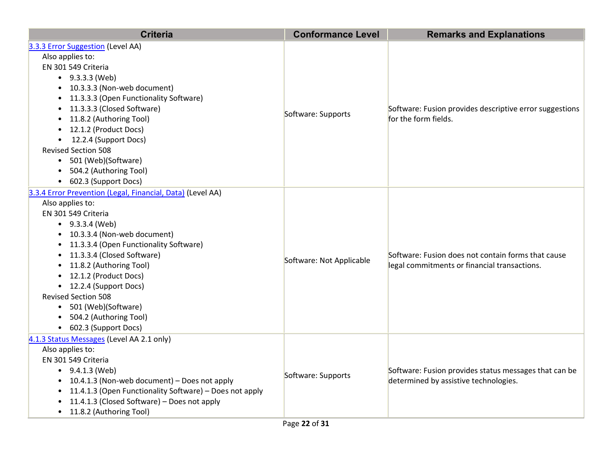| <b>Criteria</b>                                                                                                                                                                                                                                                                                                                                                                                                                                   | <b>Conformance Level</b> | <b>Remarks and Explanations</b>                                                                    |
|---------------------------------------------------------------------------------------------------------------------------------------------------------------------------------------------------------------------------------------------------------------------------------------------------------------------------------------------------------------------------------------------------------------------------------------------------|--------------------------|----------------------------------------------------------------------------------------------------|
| 3.3.3 Error Suggestion (Level AA)<br>Also applies to:<br>EN 301 549 Criteria<br>$\bullet$ 9.3.3.3 (Web)<br>• 10.3.3.3 (Non-web document)<br>• 11.3.3.3 (Open Functionality Software)<br>• 11.3.3.3 (Closed Software)<br>• 11.8.2 (Authoring Tool)<br>• 12.1.2 (Product Docs)<br>• 12.2.4 (Support Docs)<br><b>Revised Section 508</b><br>• 501 (Web)(Software)<br>504.2 (Authoring Tool)<br>$\bullet$<br>• 602.3 (Support Docs)                   | Software: Supports       | Software: Fusion provides descriptive error suggestions<br>for the form fields.                    |
| 3.3.4 Error Prevention (Legal, Financial, Data) (Level AA)<br>Also applies to:<br>EN 301 549 Criteria<br>$-9.3.3.4$ (Web)<br>• 10.3.3.4 (Non-web document)<br>• 11.3.3.4 (Open Functionality Software)<br>• 11.3.3.4 (Closed Software)<br>• 11.8.2 (Authoring Tool)<br>• 12.1.2 (Product Docs)<br>• 12.2.4 (Support Docs)<br><b>Revised Section 508</b><br>• 501 (Web)(Software)<br>504.2 (Authoring Tool)<br>$\bullet$<br>• 602.3 (Support Docs) | Software: Not Applicable | Software: Fusion does not contain forms that cause<br>legal commitments or financial transactions. |
| 4.1.3 Status Messages (Level AA 2.1 only)<br>Also applies to:<br>EN 301 549 Criteria<br>$\bullet$ 9.4.1.3 (Web)<br>• 10.4.1.3 (Non-web document) - Does not apply<br>• 11.4.1.3 (Open Functionality Software) - Does not apply<br>11.4.1.3 (Closed Software) - Does not apply<br>• 11.8.2 (Authoring Tool)                                                                                                                                        | Software: Supports       | Software: Fusion provides status messages that can be<br>determined by assistive technologies.     |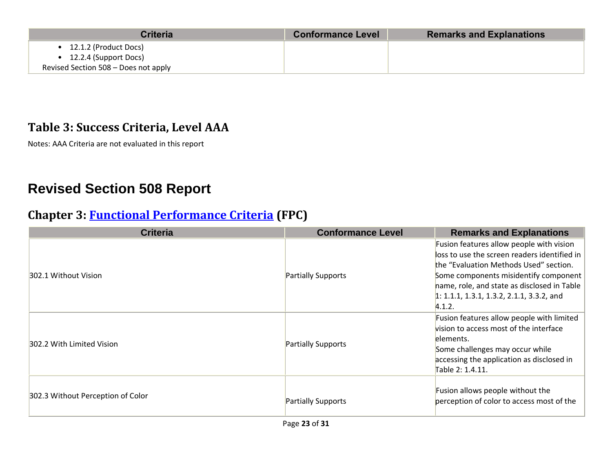| Criteria                                                                               | <b>Conformance Level</b> | <b>Remarks and Explanations</b> |
|----------------------------------------------------------------------------------------|--------------------------|---------------------------------|
| 12.1.2 (Product Docs)<br>12.2.4 (Support Docs)<br>Revised Section 508 - Does not apply |                          |                                 |

#### **Table 3: Success Criteria, Level AAA**

Notes: AAA Criteria are not evaluated in this report

# **Revised Section 508 Report**

### **Chapter 3: [Functional Performance Criteria](https://www.access-board.gov/guidelines-and-standards/communications-and-it/about-the-ict-refresh/final-rule/text-of-the-standards-and-guidelines#302-functional-performance-criteria) (FPC)**

| <b>Criteria</b>                   | <b>Conformance Level</b> | <b>Remarks and Explanations</b>                                                                                                                                                                                                                                                     |
|-----------------------------------|--------------------------|-------------------------------------------------------------------------------------------------------------------------------------------------------------------------------------------------------------------------------------------------------------------------------------|
| 302.1 Without Vision              | Partially Supports       | Fusion features allow people with vision<br>loss to use the screen readers identified in<br>the "Evaluation Methods Used" section.<br>Some components misidentify component<br>hame, role, and state as disclosed in Table<br>$1: 1.1.1, 1.3.1, 1.3.2, 2.1.1, 3.3.2,$ and<br>4.1.2. |
| 302.2 With Limited Vision         | Partially Supports       | Fusion features allow people with limited<br>vision to access most of the interface<br>elements.<br>Some challenges may occur while<br>accessing the application as disclosed in<br>Table 2: 1.4.11.                                                                                |
| 302.3 Without Perception of Color | Partially Supports       | Fusion allows people without the<br>perception of color to access most of the                                                                                                                                                                                                       |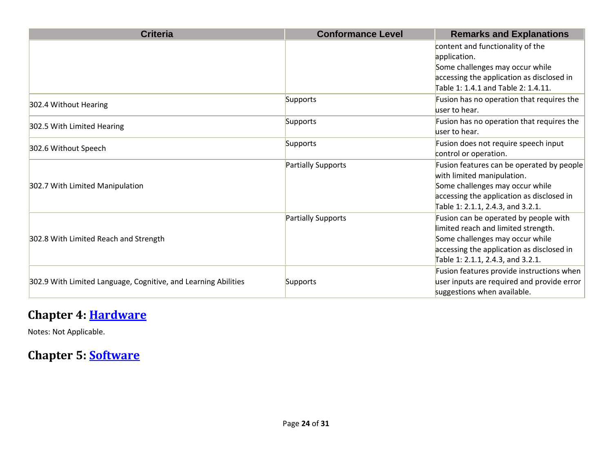| <b>Criteria</b>                                                | <b>Conformance Level</b> | <b>Remarks and Explanations</b>                               |
|----------------------------------------------------------------|--------------------------|---------------------------------------------------------------|
|                                                                |                          | content and functionality of the<br>application.              |
|                                                                |                          | Some challenges may occur while                               |
|                                                                |                          | accessing the application as disclosed in                     |
|                                                                |                          | Table 1: 1.4.1 and Table 2: 1.4.11.                           |
| 302.4 Without Hearing                                          | Supports                 | Fusion has no operation that requires the<br>user to hear.    |
| 302.5 With Limited Hearing                                     | Supports                 | Fusion has no operation that requires the<br>user to hear.    |
| 302.6 Without Speech                                           | Supports                 | Fusion does not require speech input                          |
|                                                                |                          | control or operation.                                         |
|                                                                | Partially Supports       | Fusion features can be operated by people                     |
| 302.7 With Limited Manipulation                                |                          | with limited manipulation.<br>Some challenges may occur while |
|                                                                |                          | accessing the application as disclosed in                     |
|                                                                |                          | Table 1: 2.1.1, 2.4.3, and 3.2.1.                             |
|                                                                | Partially Supports       | Fusion can be operated by people with                         |
|                                                                |                          | limited reach and limited strength.                           |
| 302.8 With Limited Reach and Strength                          |                          | Some challenges may occur while                               |
|                                                                |                          | accessing the application as disclosed in                     |
|                                                                |                          | Table 1: 2.1.1, 2.4.3, and 3.2.1.                             |
|                                                                |                          | Fusion features provide instructions when                     |
| 302.9 With Limited Language, Cognitive, and Learning Abilities | Supports                 | user inputs are required and provide error                    |
|                                                                |                          | suggestions when available.                                   |

## **Chapter 4: [Hardware](http://www.w3.org/TR/WCAG20/#401-general)**

Notes: Not Applicable.

## **Chapter 5: [Software](http://www.w3.org/TR/WCAG20/#501-general)**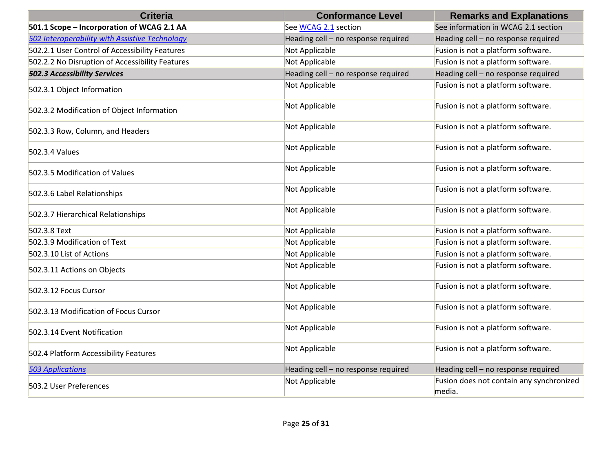| <b>Criteria</b>                                 | <b>Conformance Level</b>            | <b>Remarks and Explanations</b>                    |
|-------------------------------------------------|-------------------------------------|----------------------------------------------------|
| 501.1 Scope - Incorporation of WCAG 2.1 AA      | See WCAG 2.1 section                | See information in WCAG 2.1 section                |
| 502 Interoperability with Assistive Technology  | Heading cell - no response required | Heading cell - no response required                |
| 502.2.1 User Control of Accessibility Features  | Not Applicable                      | Fusion is not a platform software.                 |
| 502.2.2 No Disruption of Accessibility Features | Not Applicable                      | Fusion is not a platform software.                 |
| <b>502.3 Accessibility Services</b>             | Heading cell - no response required | Heading cell - no response required                |
| 502.3.1 Object Information                      | Not Applicable                      | Fusion is not a platform software.                 |
| 502.3.2 Modification of Object Information      | Not Applicable                      | Fusion is not a platform software.                 |
| 502.3.3 Row, Column, and Headers                | Not Applicable                      | Fusion is not a platform software.                 |
| 502.3.4 Values                                  | Not Applicable                      | Fusion is not a platform software.                 |
| 502.3.5 Modification of Values                  | Not Applicable                      | Fusion is not a platform software.                 |
| 502.3.6 Label Relationships                     | Not Applicable                      | Fusion is not a platform software.                 |
| 502.3.7 Hierarchical Relationships              | Not Applicable                      | Fusion is not a platform software.                 |
| 502.3.8 Text                                    | Not Applicable                      | Fusion is not a platform software.                 |
| 502.3.9 Modification of Text                    | Not Applicable                      | Fusion is not a platform software.                 |
| 502.3.10 List of Actions                        | Not Applicable                      | Fusion is not a platform software.                 |
| 502.3.11 Actions on Objects                     | Not Applicable                      | Fusion is not a platform software.                 |
| 502.3.12 Focus Cursor                           | Not Applicable                      | Fusion is not a platform software.                 |
| 502.3.13 Modification of Focus Cursor           | Not Applicable                      | Fusion is not a platform software.                 |
| 502.3.14 Event Notification                     | Not Applicable                      | Fusion is not a platform software.                 |
| 502.4 Platform Accessibility Features           | Not Applicable                      | Fusion is not a platform software.                 |
| <b>503 Applications</b>                         | Heading cell - no response required | Heading cell - no response required                |
| 503.2 User Preferences                          | Not Applicable                      | Fusion does not contain any synchronized<br>media. |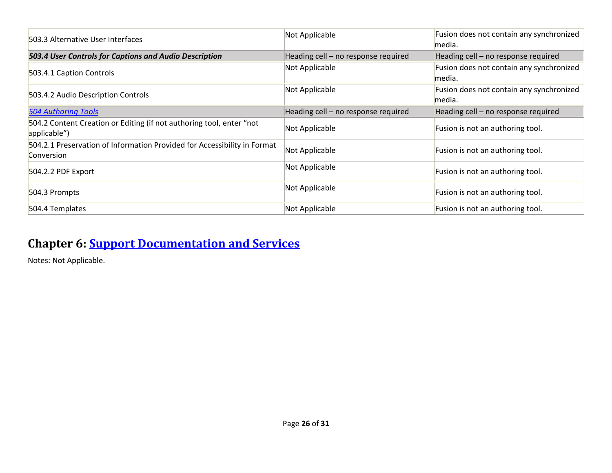| 503.3 Alternative User Interfaces                                                      | Not Applicable                      | Fusion does not contain any synchronized<br>media. |
|----------------------------------------------------------------------------------------|-------------------------------------|----------------------------------------------------|
| 503.4 User Controls for Captions and Audio Description                                 | Heading cell - no response required | Heading cell - no response required                |
| 503.4.1 Caption Controls                                                               | Not Applicable                      | Fusion does not contain any synchronized<br>media. |
| 503.4.2 Audio Description Controls                                                     | Not Applicable                      | Fusion does not contain any synchronized<br>media. |
| <b>504 Authoring Tools</b>                                                             | Heading cell - no response required | Heading cell - no response required                |
| 504.2 Content Creation or Editing (if not authoring tool, enter "not<br>applicable")   | Not Applicable                      | Fusion is not an authoring tool.                   |
| 504.2.1 Preservation of Information Provided for Accessibility in Format<br>Conversion | Not Applicable                      | Fusion is not an authoring tool.                   |
| 504.2.2 PDF Export                                                                     | Not Applicable                      | Fusion is not an authoring tool.                   |
| 504.3 Prompts                                                                          | Not Applicable                      | Fusion is not an authoring tool.                   |
| 504.4 Templates                                                                        | Not Applicable                      | Fusion is not an authoring tool.                   |

## **Chapter 6: [Support Documentation and Services](https://www.w3.org/TR/WCAG21/#601-general)**

Notes: Not Applicable.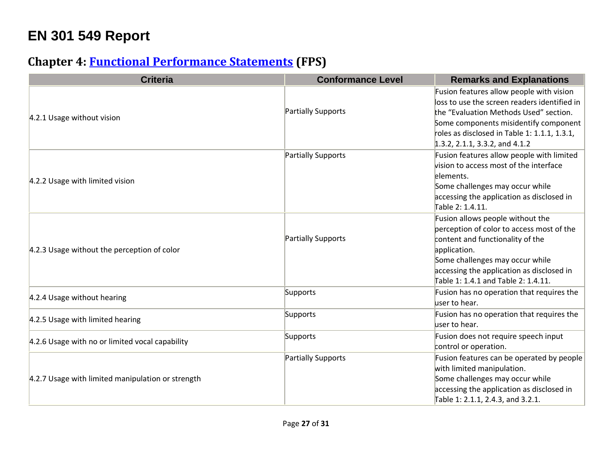# **EN 301 549 Report**

## **Chapter 4: [Functional Performance Statements](mailto:accessibility@vmware.com#%5B%7B%22num%22%3A38%2C%22gen%22%3A0%7D%2C%7B%22name%22%3A%22XYZ%22%7D%2C54%2C747%2C0%5D) (FPS)**

| <b>Criteria</b>                                   | <b>Conformance Level</b> | <b>Remarks and Explanations</b>                                                                                                                                                                                                                               |
|---------------------------------------------------|--------------------------|---------------------------------------------------------------------------------------------------------------------------------------------------------------------------------------------------------------------------------------------------------------|
| 4.2.1 Usage without vision                        | Partially Supports       | Fusion features allow people with vision<br>loss to use the screen readers identified in<br>the "Evaluation Methods Used" section.<br>Some components misidentify component<br>roles as disclosed in Table 1: 1.1.1, 1.3.1,<br>1.3.2, 2.1.1, 3.3.2, and 4.1.2 |
| 4.2.2 Usage with limited vision                   | Partially Supports       | Fusion features allow people with limited<br>vision to access most of the interface<br>elements.<br>Some challenges may occur while<br>accessing the application as disclosed in<br>Table 2: 1.4.11.                                                          |
| 4.2.3 Usage without the perception of color       | Partially Supports       | Fusion allows people without the<br>perception of color to access most of the<br>content and functionality of the<br>application.<br>Some challenges may occur while<br>accessing the application as disclosed in<br>Table 1: 1.4.1 and Table 2: 1.4.11.      |
| 4.2.4 Usage without hearing                       | Supports                 | Fusion has no operation that requires the<br>user to hear.                                                                                                                                                                                                    |
| 4.2.5 Usage with limited hearing                  | Supports                 | Fusion has no operation that requires the<br>user to hear.                                                                                                                                                                                                    |
| 4.2.6 Usage with no or limited vocal capability   | Supports                 | Fusion does not require speech input<br>control or operation.                                                                                                                                                                                                 |
| 4.2.7 Usage with limited manipulation or strength | Partially Supports       | Fusion features can be operated by people<br>with limited manipulation.<br>Some challenges may occur while<br>accessing the application as disclosed in<br>Table 1: 2.1.1, 2.4.3, and 3.2.1.                                                                  |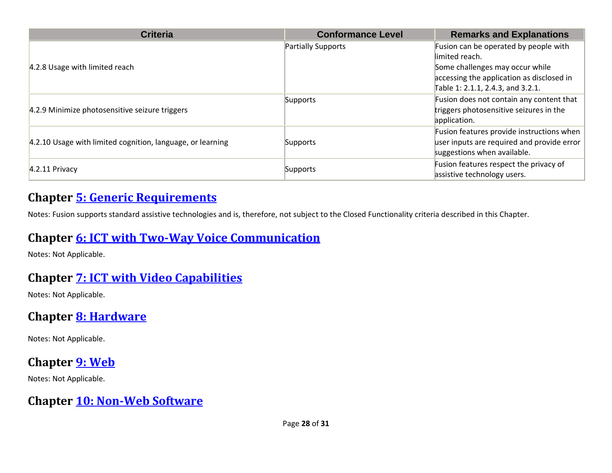| <b>Criteria</b>                                            | <b>Conformance Level</b>  | <b>Remarks and Explanations</b>                                                                                                                                              |
|------------------------------------------------------------|---------------------------|------------------------------------------------------------------------------------------------------------------------------------------------------------------------------|
| 4.2.8 Usage with limited reach                             | <b>Partially Supports</b> | Fusion can be operated by people with<br>limited reach.<br>Some challenges may occur while<br>accessing the application as disclosed in<br>Table 1: 2.1.1, 2.4.3, and 3.2.1. |
| 4.2.9 Minimize photosensitive seizure triggers             | Supports                  | Fusion does not contain any content that<br>triggers photosensitive seizures in the<br>application.                                                                          |
| 4.2.10 Usage with limited cognition, language, or learning | Supports                  | Fusion features provide instructions when<br>user inputs are required and provide error<br>suggestions when available.                                                       |
| $4.2.11$ Privacy                                           | Supports                  | Fusion features respect the privacy of<br>assistive technology users.                                                                                                        |

#### **Chapter [5: Generic Requirements](https://www.w3.org/TR/WCAG21/#%5B%7B%22num%22%3A45%2C%22gen%22%3A0%7D%2C%7B%22name%22%3A%22XYZ%22%7D%2C54%2C747%2C0%5D)**

Notes: Fusion supports standard assistive technologies and is, therefore, not subject to the Closed Functionality criteria described in this Chapter.

#### **Chapter [6: ICT with Two-Way Voice Communication](https://www.access-board.gov/guidelines-and-standards/communications-and-it/about-the-ict-refresh/final-rule/text-of-the-standards-and-guidelines#%5B%7B%22num%22%3A60%2C%22gen%22%3A0%7D%2C%7B%22name%22%3A%22XYZ%22%7D%2C54%2C747%2C0%5D)**

Notes: Not Applicable.

### **Chapter [7: ICT with Video Capabilities](https://www.etsi.org/deliver/etsi_en/301500_301599/301549/03.01.01_60/en_301549v030101p.pdf#%5B%7B%22num%22%3A70%2C%22gen%22%3A0%7D%2C%7B%22name%22%3A%22XYZ%22%7D%2C54%2C747%2C0%5D)**

Notes: Not Applicable.

#### **Chapter [8: Hardware](https://www.access-board.gov/guidelines-and-standards/communications-and-it/about-the-ict-refresh/final-rule/text-of-the-standards-and-guidelines#%5B%7B%22num%22%3A74%2C%22gen%22%3A0%7D%2C%7B%22name%22%3A%22XYZ%22%7D%2C54%2C747%2C0%5D)**

Notes: Not Applicable.

### **Chapter [9: Web](http://www.w3.org/TR/WCAG20/#%5B%7B%22num%22%3A113%2C%22gen%22%3A0%7D%2C%7B%22name%22%3A%22XYZ%22%7D%2C54%2C747%2C0%5D)**

Notes: Not Applicable.

#### **Chapter [10: Non-Web Software](https://www.etsi.org/deliver/etsi_en/301500_301599/301549/03.01.01_60/en_301549v030101p.pdf#%5B%7B%22num%22%3A127%2C%22gen%22%3A0%7D%2C%7B%22name%22%3A%22XYZ%22%7D%2C54%2C747%2C0%5D)**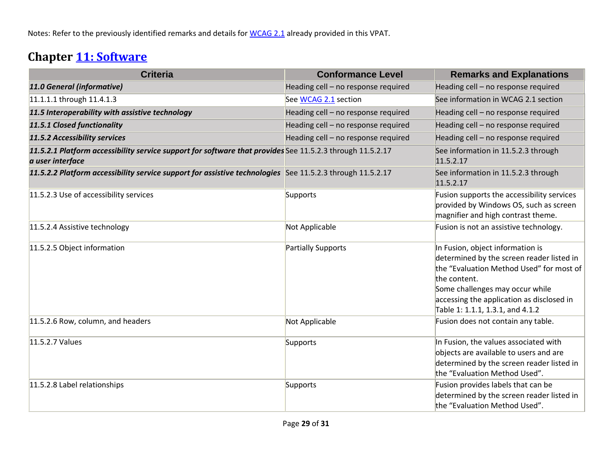Notes: Refer to the previously identified remarks and details for [WCAG 2.1](https://www.access-board.gov/guidelines-and-standards/communications-and-it/about-the-ict-refresh/final-rule/text-of-the-standards-and-guidelines#_WCAG_2.x_Report) already provided in this VPAT.

## **Chapter [11: Software](https://www.etsi.org/deliver/etsi_en/301500_301599/301549/03.01.01_60/en_301549v030101p.pdf#%5B%7B%22num%22%3A149%2C%22gen%22%3A0%7D%2C%7B%22name%22%3A%22XYZ%22%7D%2C54%2C747%2C0%5D)**

| <b>Criteria</b>                                                                                                               | <b>Conformance Level</b>            | <b>Remarks and Explanations</b>                                                                                                                                                                                                                               |
|-------------------------------------------------------------------------------------------------------------------------------|-------------------------------------|---------------------------------------------------------------------------------------------------------------------------------------------------------------------------------------------------------------------------------------------------------------|
| 11.0 General (informative)                                                                                                    | Heading cell - no response required | Heading cell - no response required                                                                                                                                                                                                                           |
| 11.1.1.1 through 11.4.1.3                                                                                                     | See WCAG 2.1 section                | See information in WCAG 2.1 section                                                                                                                                                                                                                           |
| 11.5 Interoperability with assistive technology                                                                               | Heading cell - no response required | Heading cell - no response required                                                                                                                                                                                                                           |
| 11.5.1 Closed functionality                                                                                                   | Heading cell - no response required | Heading cell - no response required                                                                                                                                                                                                                           |
| 11.5.2 Accessibility services                                                                                                 | Heading cell - no response required | Heading cell - no response required                                                                                                                                                                                                                           |
| 11.5.2.1 Platform accessibility service support for software that provides See 11.5.2.3 through 11.5.2.17<br>a user interface |                                     | See information in 11.5.2.3 through<br>11.5.2.17                                                                                                                                                                                                              |
| 11.5.2.2 Platform accessibility service support for assistive technologies See 11.5.2.3 through 11.5.2.17                     |                                     | See information in 11.5.2.3 through<br>11.5.2.17                                                                                                                                                                                                              |
| 11.5.2.3 Use of accessibility services                                                                                        | Supports                            | Fusion supports the accessibility services<br>provided by Windows OS, such as screen<br>magnifier and high contrast theme.                                                                                                                                    |
| 11.5.2.4 Assistive technology                                                                                                 | Not Applicable                      | Fusion is not an assistive technology.                                                                                                                                                                                                                        |
| 11.5.2.5 Object information                                                                                                   | Partially Supports                  | In Fusion, object information is<br>determined by the screen reader listed in<br>the "Evaluation Method Used" for most of<br>the content.<br>Some challenges may occur while<br>accessing the application as disclosed in<br>Table 1: 1.1.1, 1.3.1, and 4.1.2 |
| 11.5.2.6 Row, column, and headers                                                                                             | Not Applicable                      | Fusion does not contain any table.                                                                                                                                                                                                                            |
| 11.5.2.7 Values                                                                                                               | Supports                            | In Fusion, the values associated with<br>objects are available to users and are<br>determined by the screen reader listed in<br>the "Evaluation Method Used".                                                                                                 |
| 11.5.2.8 Label relationships                                                                                                  | Supports                            | Fusion provides labels that can be<br>determined by the screen reader listed in<br>the "Evaluation Method Used".                                                                                                                                              |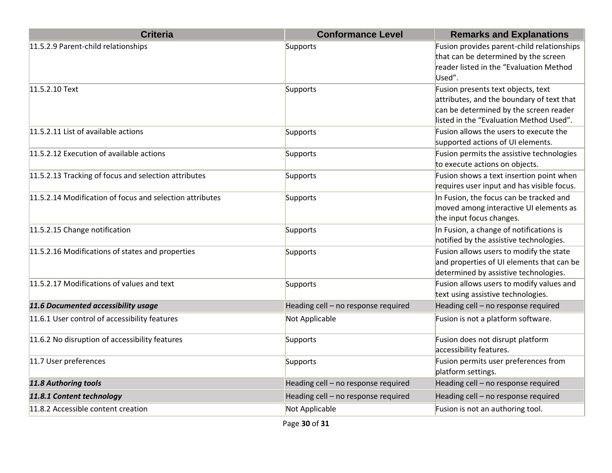| <b>Criteria</b>                                          | <b>Conformance Level</b>            | <b>Remarks and Explanations</b>                                                                                                                                      |
|----------------------------------------------------------|-------------------------------------|----------------------------------------------------------------------------------------------------------------------------------------------------------------------|
| 11.5.2.9 Parent-child relationships                      | Supports                            | Fusion provides parent-child relationships<br>that can be determined by the screen<br>reader listed in the "Evaluation Method<br>Used".                              |
| 11.5.2.10 Text                                           | Supports                            | Fusion presents text objects, text<br>attributes, and the boundary of text that<br>can be determined by the screen reader<br>listed in the "Evaluation Method Used". |
| 11.5.2.11 List of available actions                      | Supports                            | Fusion allows the users to execute the<br>supported actions of UI elements.                                                                                          |
| 11.5.2.12 Execution of available actions                 | Supports                            | Fusion permits the assistive technologies<br>to execute actions on objects.                                                                                          |
| 11.5.2.13 Tracking of focus and selection attributes     | Supports                            | Fusion shows a text insertion point when<br>requires user input and has visible focus.                                                                               |
| 11.5.2.14 Modification of focus and selection attributes | Supports                            | In Fusion, the focus can be tracked and<br>moved among interactive UI elements as<br>the input focus changes.                                                        |
| 11.5.2.15 Change notification                            | Supports                            | In Fusion, a change of notifications is<br>notified by the assistive technologies.                                                                                   |
| 11.5.2.16 Modifications of states and properties         | Supports                            | Fusion allows users to modify the state<br>and properties of UI elements that can be<br>determined by assistive technologies.                                        |
| 11.5.2.17 Modifications of values and text               | Supports                            | Fusion allows users to modify values and<br>text using assistive technologies.                                                                                       |
| 11.6 Documented accessibility usage                      | Heading cell - no response required | Heading cell - no response required                                                                                                                                  |
| 11.6.1 User control of accessibility features            | Not Applicable                      | Fusion is not a platform software.                                                                                                                                   |
| 11.6.2 No disruption of accessibility features           | Supports                            | Fusion does not disrupt platform<br>accessibility features.                                                                                                          |
| 11.7 User preferences                                    | Supports                            | Fusion permits user preferences from<br>platform settings.                                                                                                           |
| 11.8 Authoring tools                                     | Heading cell - no response required | Heading cell - no response required                                                                                                                                  |
| 11.8.1 Content technology                                | Heading cell - no response required | Heading cell - no response required                                                                                                                                  |
| 11.8.2 Accessible content creation                       | Not Applicable                      | Fusion is not an authoring tool.                                                                                                                                     |